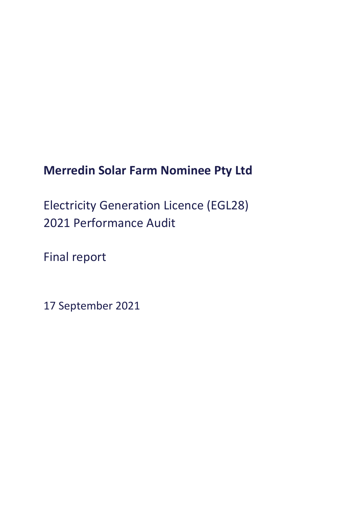# **Merredin Solar Farm Nominee Pty Ltd**

Electricity Generation Licence (EGL28) 2021 Performance Audit

Final report

17 September 2021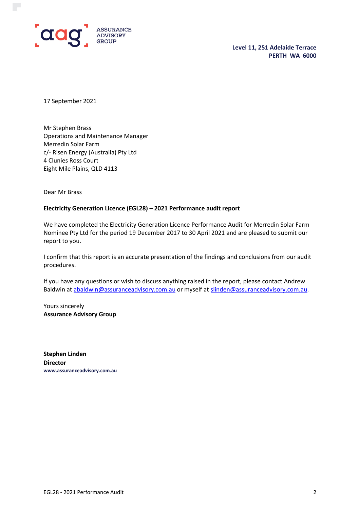

**Level 11, 251 Adelaide Terrace PERTH WA 6000**

17 September 2021

Mr Stephen Brass Operations and Maintenance Manager Merredin Solar Farm c/- Risen Energy (Australia) Pty Ltd 4 Clunies Ross Court Eight Mile Plains, QLD 4113

Dear Mr Brass

#### **Electricity Generation Licence (EGL28) – 2021 Performance audit report**

We have completed the Electricity Generation Licence Performance Audit for Merredin Solar Farm Nominee Pty Ltd for the period 19 December 2017 to 30 April 2021 and are pleased to submit our report to you.

I confirm that this report is an accurate presentation of the findings and conclusions from our audit procedures.

If you have any questions or wish to discuss anything raised in the report, please contact Andrew Baldwin at [abaldwin@assuranceadvisory.com.au](mailto:abaldwin@assuranceadvisory.com.au) or myself at [slinden@assuranceadvisory.com.au.](mailto:slinden@assuranceadvisory.com.au)

Yours sincerely **Assurance Advisory Group**

**Stephen Linden Director www.assuranceadvisory.com.au**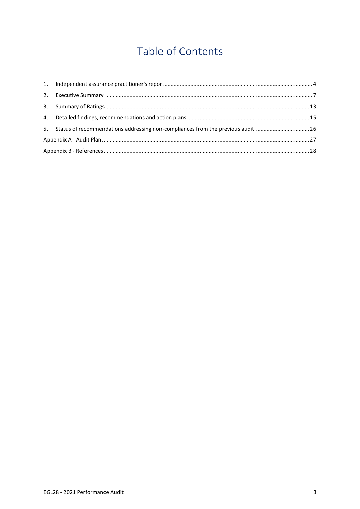# Table of Contents

| 5. Status of recommendations addressing non-compliances from the previous audit 26 |  |
|------------------------------------------------------------------------------------|--|
|                                                                                    |  |
|                                                                                    |  |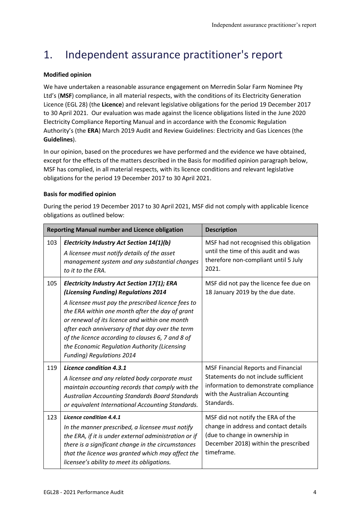# <span id="page-3-0"></span>1. Independent assurance practitioner's report

#### **Modified opinion**

We have undertaken a reasonable assurance engagement on Merredin Solar Farm Nominee Pty Ltd's (**MSF**) compliance, in all material respects, with the conditions of its Electricity Generation Licence (EGL 28) (the **Licence**) and relevant legislative obligations for the period 19 December 2017 to 30 April 2021. Our evaluation was made against the licence obligations listed in the June 2020 Electricity Compliance Reporting Manual and in accordance with the Economic Regulation Authority's (the **ERA**) March 2019 Audit and Review Guidelines: Electricity and Gas Licences (the **Guidelines**).

In our opinion, based on the procedures we have performed and the evidence we have obtained, except for the effects of the matters described in the Basis for modified opinion paragraph below, MSF has complied, in all material respects, with its licence conditions and relevant legislative obligations for the period 19 December 2017 to 30 April 2021.

#### **Basis for modified opinion**

During the period 19 December 2017 to 30 April 2021, MSF did not comply with applicable licence obligations as outlined below:

|     | <b>Reporting Manual number and Licence obligation</b>                                                                                                                                                                                                                                                                                                                                                                                       | <b>Description</b>                                                                                                                                                   |
|-----|---------------------------------------------------------------------------------------------------------------------------------------------------------------------------------------------------------------------------------------------------------------------------------------------------------------------------------------------------------------------------------------------------------------------------------------------|----------------------------------------------------------------------------------------------------------------------------------------------------------------------|
| 103 | <b>Electricity Industry Act Section 14(1)(b)</b><br>A licensee must notify details of the asset<br>management system and any substantial changes<br>to it to the ERA.                                                                                                                                                                                                                                                                       | MSF had not recognised this obligation<br>until the time of this audit and was<br>therefore non-compliant until 5 July<br>2021.                                      |
| 105 | Electricity Industry Act Section 17(1); ERA<br>(Licensing Funding) Regulations 2014<br>A licensee must pay the prescribed licence fees to<br>the ERA within one month after the day of grant<br>or renewal of its licence and within one month<br>after each anniversary of that day over the term<br>of the licence according to clauses 6, 7 and 8 of<br>the Economic Regulation Authority (Licensing<br><b>Funding) Regulations 2014</b> | MSF did not pay the licence fee due on<br>18 January 2019 by the due date.                                                                                           |
| 119 | Licence condition 4.3.1<br>A licensee and any related body corporate must<br>maintain accounting records that comply with the<br><b>Australian Accounting Standards Board Standards</b><br>or equivalent International Accounting Standards.                                                                                                                                                                                                | MSF Financial Reports and Financial<br>Statements do not include sufficient<br>information to demonstrate compliance<br>with the Australian Accounting<br>Standards. |
| 123 | Licence condition 4.4.1<br>In the manner prescribed, a licensee must notify<br>the ERA, if it is under external administration or if<br>there is a significant change in the circumstances<br>that the licence was granted which may affect the<br>licensee's ability to meet its obligations.                                                                                                                                              | MSF did not notify the ERA of the<br>change in address and contact details<br>(due to change in ownership in<br>December 2018) within the prescribed<br>timeframe.   |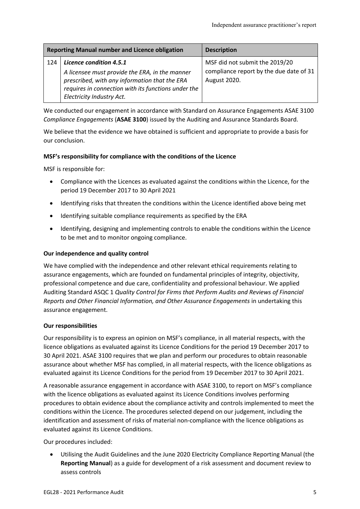|     | <b>Reporting Manual number and Licence obligation</b>                                                                                                                               | <b>Description</b>                                      |
|-----|-------------------------------------------------------------------------------------------------------------------------------------------------------------------------------------|---------------------------------------------------------|
| 124 | Licence condition 4.5.1                                                                                                                                                             | MSF did not submit the 2019/20                          |
|     | A licensee must provide the ERA, in the manner<br>prescribed, with any information that the ERA<br>requires in connection with its functions under the<br>Electricity Industry Act. | compliance report by the due date of 31<br>August 2020. |

We conducted our engagement in accordance with Standard on Assurance Engagements ASAE 3100 *Compliance Engagements* (**ASAE 3100**) issued by the Auditing and Assurance Standards Board.

We believe that the evidence we have obtained is sufficient and appropriate to provide a basis for our conclusion.

#### **MSF's responsibility for compliance with the conditions of the Licence**

MSF is responsible for:

- Compliance with the Licences as evaluated against the conditions within the Licence, for the period 19 December 2017 to 30 April 2021
- Identifying risks that threaten the conditions within the Licence identified above being met
- Identifying suitable compliance requirements as specified by the ERA
- Identifying, designing and implementing controls to enable the conditions within the Licence to be met and to monitor ongoing compliance.

#### **Our independence and quality control**

We have complied with the independence and other relevant ethical requirements relating to assurance engagements, which are founded on fundamental principles of integrity, objectivity, professional competence and due care, confidentiality and professional behaviour. We applied Auditing Standard ASQC 1 *Quality Control for Firms that Perform Audits and Reviews of Financial Reports and Other Financial Information, and Other Assurance Engagements* in undertaking this assurance engagement.

#### **Our responsibilities**

Our responsibility is to express an opinion on MSF's compliance, in all material respects, with the licence obligations as evaluated against its Licence Conditions for the period 19 December 2017 to 30 April 2021. ASAE 3100 requires that we plan and perform our procedures to obtain reasonable assurance about whether MSF has complied, in all material respects, with the licence obligations as evaluated against its Licence Conditions for the period from 19 December 2017 to 30 April 2021.

A reasonable assurance engagement in accordance with ASAE 3100, to report on MSF's compliance with the licence obligations as evaluated against its Licence Conditions involves performing procedures to obtain evidence about the compliance activity and controls implemented to meet the conditions within the Licence. The procedures selected depend on our judgement, including the identification and assessment of risks of material non-compliance with the licence obligations as evaluated against its Licence Conditions.

Our procedures included:

• Utilising the Audit Guidelines and the June 2020 Electricity Compliance Reporting Manual (the **Reporting Manual**) as a guide for development of a risk assessment and document review to assess controls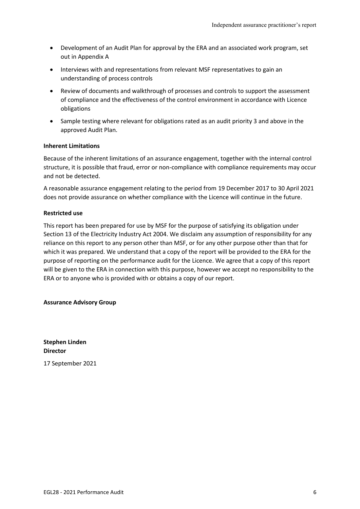- Development of an Audit Plan for approval by the ERA and an associated work program, set out in Appendix A
- Interviews with and representations from relevant MSF representatives to gain an understanding of process controls
- Review of documents and walkthrough of processes and controls to support the assessment of compliance and the effectiveness of the control environment in accordance with Licence obligations
- Sample testing where relevant for obligations rated as an audit priority 3 and above in the approved Audit Plan.

#### **Inherent Limitations**

Because of the inherent limitations of an assurance engagement, together with the internal control structure, it is possible that fraud, error or non-compliance with compliance requirements may occur and not be detected.

A reasonable assurance engagement relating to the period from 19 December 2017 to 30 April 2021 does not provide assurance on whether compliance with the Licence will continue in the future.

#### **Restricted use**

This report has been prepared for use by MSF for the purpose of satisfying its obligation under Section 13 of the Electricity Industry Act 2004. We disclaim any assumption of responsibility for any reliance on this report to any person other than MSF, or for any other purpose other than that for which it was prepared. We understand that a copy of the report will be provided to the ERA for the purpose of reporting on the performance audit for the Licence. We agree that a copy of this report will be given to the ERA in connection with this purpose, however we accept no responsibility to the ERA or to anyone who is provided with or obtains a copy of our report.

#### **Assurance Advisory Group**

**Stephen Linden Director**

17 September 2021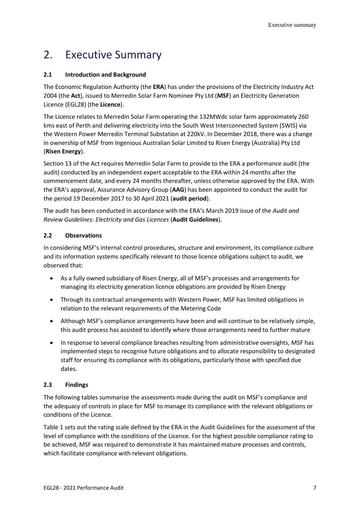## <span id="page-6-0"></span>2. Executive Summary

#### **2.1 Introduction and Background**

The Economic Regulation Authority (the **ERA**) has under the provisions of the Electricity Industry Act 2004 (the **Act**), issued to Merredin Solar Farm Nominee Pty Ltd (**MSF**) an Electricity Generation Licence (EGL28) (the **Licence**).

The Licence relates to Merredin Solar Farm operating the 132MWdc solar farm approximately 260 kms east of Perth and delivering electricity into the South West Interconnected System (SWIS) via the Western Power Merredin Terminal Substation at 220kV. In December 2018, there was a change in ownership of MSF from Ingenious Australian Solar Limited to Risen Energy (Australia) Pty Ltd (**Risen Energy**).

Section 13 of the Act requires Merredin Solar Farm to provide to the ERA a performance audit (the audit) conducted by an independent expert acceptable to the ERA within 24 months after the commencement date, and every 24 months thereafter, unless otherwise approved by the ERA. With the ERA's approval, Assurance Advisory Group (**AAG**) has been appointed to conduct the audit for the period 19 December 2017 to 30 April 2021 (**audit period**).

The audit has been conducted in accordance with the ERA's March 2019 issue of the *Audit and Review Guidelines: Electricity and Gas Licences* (**Audit Guidelines**).

#### **2.2 Observations**

In considering MSF's internal control procedures, structure and environment, its compliance culture and its information systems specifically relevant to those licence obligations subject to audit, we observed that:

- As a fully owned subsidiary of Risen Energy, all of MSF's processes and arrangements for managing its electricity generation licence obligations are provided by Risen Energy
- Through its contractual arrangements with Western Power, MSF has limited obligations in relation to the relevant requirements of the Metering Code
- Although MSF's compliance arrangements have been and will continue to be relatively simple, this audit process has assisted to identify where those arrangements need to further mature
- In response to several compliance breaches resulting from administrative oversights, MSF has implemented steps to recognise future obligations and to allocate responsibility to designated staff for ensuring its compliance with its obligations, particularly those with specified due dates.

#### **2.3 Findings**

The following tables summarise the assessments made during the audit on MSF's compliance and the adequacy of controls in place for MSF to manage its compliance with the relevant obligations or conditions of the Licence.

Table 1 sets out the rating scale defined by the ERA in the Audit Guidelines for the assessment of the level of compliance with the conditions of the Licence. For the highest possible compliance rating to be achieved, MSF was required to demonstrate it has maintained mature processes and controls, which facilitate compliance with relevant obligations.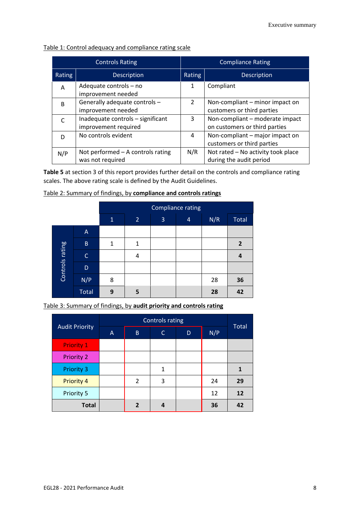| Table 1: Control adequacy and compliance rating scale |
|-------------------------------------------------------|
|-------------------------------------------------------|

|                                                   | <b>Controls Rating</b>                                    | <b>Compliance Rating</b>                                                        |                                                                  |  |  |  |
|---------------------------------------------------|-----------------------------------------------------------|---------------------------------------------------------------------------------|------------------------------------------------------------------|--|--|--|
| Rating                                            | <b>Description</b>                                        | Rating                                                                          | <b>Description</b>                                               |  |  |  |
| Adequate controls - no<br>A<br>improvement needed |                                                           | 1                                                                               | Compliant                                                        |  |  |  |
| <sub>R</sub>                                      | Generally adequate controls -<br>improvement needed       | $\mathfrak{D}$                                                                  | Non-compliant – minor impact on<br>customers or third parties    |  |  |  |
|                                                   | Inadequate controls - significant<br>improvement required |                                                                                 | Non-compliant - moderate impact<br>on customers or third parties |  |  |  |
| No controls evident<br>D                          |                                                           | Non-compliant - major impact on<br>$\overline{4}$<br>customers or third parties |                                                                  |  |  |  |
| N/P                                               | Not performed $-$ A controls rating<br>was not required   | N/R                                                                             | Not rated - No activity took place<br>during the audit period    |  |  |  |

**Table 5** at section 3 of this report provides further detail on the controls and compliance rating scales. The above rating scale is defined by the Audit Guidelines.

|                 |                | Compliance rating |                |   |   |     |                |  |  |  |
|-----------------|----------------|-------------------|----------------|---|---|-----|----------------|--|--|--|
|                 |                | $\mathbf{1}$      | $\overline{2}$ | 3 | 4 | N/R | Total          |  |  |  |
|                 | A              |                   |                |   |   |     |                |  |  |  |
|                 | $\overline{B}$ | 1                 | 1              |   |   |     | $\overline{2}$ |  |  |  |
|                 | $\mathsf{C}$   |                   | 4              |   |   |     | 4              |  |  |  |
| Controls rating | D              |                   |                |   |   |     |                |  |  |  |
|                 | N/P            | 8                 |                |   |   | 28  | 36             |  |  |  |
|                 | <b>Total</b>   | 9                 | 5              |   |   | 28  | 42             |  |  |  |

|  |  |  |  | Table 2: Summary of findings, by compliance and controls ratings |
|--|--|--|--|------------------------------------------------------------------|
|--|--|--|--|------------------------------------------------------------------|

Table 3: Summary of findings, by **audit priority and controls rating**

| <b>Audit Priority</b> | A | B.             | C            | D | N/P | <b>Total</b> |
|-----------------------|---|----------------|--------------|---|-----|--------------|
| <b>Priority 1</b>     |   |                |              |   |     |              |
| <b>Priority 2</b>     |   |                |              |   |     |              |
| <b>Priority 3</b>     |   |                | $\mathbf{1}$ |   |     | 1            |
| <b>Priority 4</b>     |   | $\overline{2}$ | 3            |   | 24  | 29           |
| Priority 5            |   |                |              |   | 12  | 12           |
| <b>Total</b>          |   | $\overline{2}$ |              |   | 36  | 42           |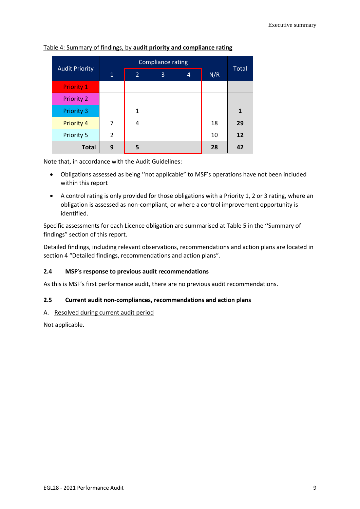| <b>Audit Priority</b> | $\mathbf{1}$ | $\overline{2}$ | 3 | $\overline{4}$ | N/R | Total |
|-----------------------|--------------|----------------|---|----------------|-----|-------|
| <b>Priority 1</b>     |              |                |   |                |     |       |
| <b>Priority 2</b>     |              |                |   |                |     |       |
| <b>Priority 3</b>     |              | 1              |   |                |     |       |
| Priority 4            | 7            | 4              |   |                | 18  | 29    |
| Priority 5            | 2            |                |   |                | 10  | 12    |
| <b>Total</b>          | 9            | 5              |   |                | 28  | 42    |

Table 4: Summary of findings, by **audit priority and compliance rating**

Note that, in accordance with the Audit Guidelines:

- Obligations assessed as being ''not applicable" to MSF's operations have not been included within this report
- A control rating is only provided for those obligations with a Priority 1, 2 or 3 rating, where an obligation is assessed as non-compliant, or where a control improvement opportunity is identified.

Specific assessments for each Licence obligation are summarised at Table 5 in the ''Summary of findings" section of this report.

Detailed findings, including relevant observations, recommendations and action plans are located in section 4 "Detailed findings, recommendations and action plans".

#### **2.4 MSF's response to previous audit recommendations**

As this is MSF's first performance audit, there are no previous audit recommendations.

#### **2.5 Current audit non-compliances, recommendations and action plans**

#### A. Resolved during current audit period

Not applicable.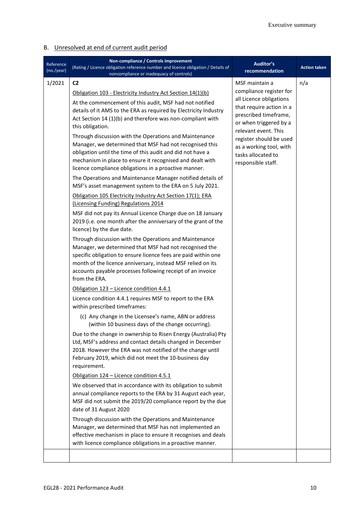### B. Unresolved at end of current audit period

| Reference<br>(no./year) | Non-compliance / Controls improvement<br>(Rating / Licence obligation reference number and licence obligation / Details of<br>noncompliance or inadequacy of controls)                                                                                                                                                                                                                                                                                                                                                                                                                                                                                                                                                                                                                                                                                                                                                                                                                                                                                                                                                                                                                                                                                                                                                                                                                                                                                                                                                                                                                                                                                                                                                                                                                                                                                                                                                                                                                                                                                                                                                                                                                                                                                                                                                                                                                            | Auditor's<br>recommendation                                                                                                                                                                                                                                                   | <b>Action taken</b> |
|-------------------------|---------------------------------------------------------------------------------------------------------------------------------------------------------------------------------------------------------------------------------------------------------------------------------------------------------------------------------------------------------------------------------------------------------------------------------------------------------------------------------------------------------------------------------------------------------------------------------------------------------------------------------------------------------------------------------------------------------------------------------------------------------------------------------------------------------------------------------------------------------------------------------------------------------------------------------------------------------------------------------------------------------------------------------------------------------------------------------------------------------------------------------------------------------------------------------------------------------------------------------------------------------------------------------------------------------------------------------------------------------------------------------------------------------------------------------------------------------------------------------------------------------------------------------------------------------------------------------------------------------------------------------------------------------------------------------------------------------------------------------------------------------------------------------------------------------------------------------------------------------------------------------------------------------------------------------------------------------------------------------------------------------------------------------------------------------------------------------------------------------------------------------------------------------------------------------------------------------------------------------------------------------------------------------------------------------------------------------------------------------------------------------------------------|-------------------------------------------------------------------------------------------------------------------------------------------------------------------------------------------------------------------------------------------------------------------------------|---------------------|
| 1/2021                  | C <sub>2</sub><br>Obligation 103 - Electricity Industry Act Section 14(1)(b)<br>At the commencement of this audit, MSF had not notified<br>details of it AMS to the ERA as required by Electricity Industry<br>Act Section 14 (1)(b) and therefore was non-compliant with<br>this obligation.<br>Through discussion with the Operations and Maintenance<br>Manager, we determined that MSF had not recognised this<br>obligation until the time of this audit and did not have a<br>mechanism in place to ensure it recognised and dealt with<br>licence compliance obligations in a proactive manner.<br>The Operations and Maintenance Manager notified details of<br>MSF's asset management system to the ERA on 5 July 2021.<br>Obligation 105 Electricity Industry Act Section 17(1); ERA<br>(Licensing Funding) Regulations 2014<br>MSF did not pay its Annual Licence Charge due on 18 January<br>2019 (i.e. one month after the anniversary of the grant of the<br>licence) by the due date.<br>Through discussion with the Operations and Maintenance<br>Manager, we determined that MSF had not recognised the<br>specific obligation to ensure licence fees are paid within one<br>month of the licence anniversary, instead MSF relied on its<br>accounts payable processes following receipt of an invoice<br>from the ERA.<br>Obligation 123 - Licence condition 4.4.1<br>Licence condition 4.4.1 requires MSF to report to the ERA<br>within prescribed timeframes:<br>(c) Any change in the Licensee's name, ABN or address<br>(within 10 business days of the change occurring).<br>Due to the change in ownership to Risen Energy (Australia) Pty<br>Ltd, MSF's address and contact details changed in December<br>2018. However the ERA was not notified of the change until<br>February 2019, which did not meet the 10-business day<br>requirement.<br>Obligation 124 - Licence condition 4.5.1<br>We observed that in accordance with its obligation to submit<br>annual compliance reports to the ERA by 31 August each year,<br>MSF did not submit the 2019/20 compliance report by the due<br>date of 31 August 2020<br>Through discussion with the Operations and Maintenance<br>Manager, we determined that MSF has not implemented an<br>effective mechanism in place to ensure it recognises and deals<br>with licence compliance obligations in a proactive manner. | MSF maintain a<br>compliance register for<br>all Licence obligations<br>that require action in a<br>prescribed timeframe,<br>or when triggered by a<br>relevant event. This<br>register should be used<br>as a working tool, with<br>tasks allocated to<br>responsible staff. | n/a                 |
|                         |                                                                                                                                                                                                                                                                                                                                                                                                                                                                                                                                                                                                                                                                                                                                                                                                                                                                                                                                                                                                                                                                                                                                                                                                                                                                                                                                                                                                                                                                                                                                                                                                                                                                                                                                                                                                                                                                                                                                                                                                                                                                                                                                                                                                                                                                                                                                                                                                   |                                                                                                                                                                                                                                                                               |                     |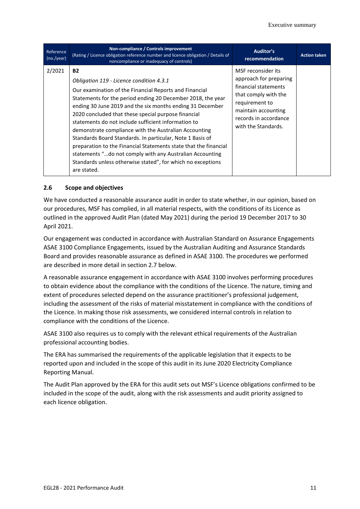| Reference<br>(no./year) | Non-compliance / Controls improvement<br>(Rating / Licence obligation reference number and licence obligation / Details of<br>noncompliance or inadequacy of controls)                                                                                                                                                                                                                                                                                                                                                                                                                                                                                                                        | Auditor's<br>recommendation                                                                                                                                                           | <b>Action taken</b> |
|-------------------------|-----------------------------------------------------------------------------------------------------------------------------------------------------------------------------------------------------------------------------------------------------------------------------------------------------------------------------------------------------------------------------------------------------------------------------------------------------------------------------------------------------------------------------------------------------------------------------------------------------------------------------------------------------------------------------------------------|---------------------------------------------------------------------------------------------------------------------------------------------------------------------------------------|---------------------|
| 2/2021                  | <b>B2</b><br>Obligation 119 - Licence condition 4.3.1<br>Our examination of the Financial Reports and Financial<br>Statements for the period ending 20 December 2018, the year<br>ending 30 June 2019 and the six months ending 31 December<br>2020 concluded that these special purpose financial<br>statements do not include sufficient information to<br>demonstrate compliance with the Australian Accounting<br>Standards Board Standards. In particular, Note 1 Basis of<br>preparation to the Financial Statements state that the financial<br>statements "do not comply with any Australian Accounting<br>Standards unless otherwise stated", for which no exceptions<br>are stated. | MSF reconsider its<br>approach for preparing<br>financial statements<br>that comply with the<br>requirement to<br>maintain accounting<br>records in accordance<br>with the Standards. |                     |

#### **2.6 Scope and objectives**

We have conducted a reasonable assurance audit in order to state whether, in our opinion, based on our procedures, MSF has complied, in all material respects, with the conditions of its Licence as outlined in the approved Audit Plan (dated May 2021) during the period 19 December 2017 to 30 April 2021.

Our engagement was conducted in accordance with Australian Standard on Assurance Engagements ASAE 3100 Compliance Engagements, issued by the Australian Auditing and Assurance Standards Board and provides reasonable assurance as defined in ASAE 3100. The procedures we performed are described in more detail in section 2.7 below.

A reasonable assurance engagement in accordance with ASAE 3100 involves performing procedures to obtain evidence about the compliance with the conditions of the Licence. The nature, timing and extent of procedures selected depend on the assurance practitioner's professional judgement, including the assessment of the risks of material misstatement in compliance with the conditions of the Licence. In making those risk assessments, we considered internal controls in relation to compliance with the conditions of the Licence.

ASAE 3100 also requires us to comply with the relevant ethical requirements of the Australian professional accounting bodies.

The ERA has summarised the requirements of the applicable legislation that it expects to be reported upon and included in the scope of this audit in its June 2020 Electricity Compliance Reporting Manual.

The Audit Plan approved by the ERA for this audit sets out MSF's Licence obligations confirmed to be included in the scope of the audit, along with the risk assessments and audit priority assigned to each licence obligation.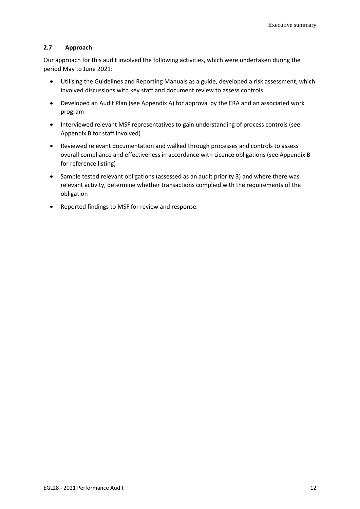#### **2.7 Approach**

Our approach for this audit involved the following activities, which were undertaken during the period May to June 2021:

- Utilising the Guidelines and Reporting Manuals as a guide, developed a risk assessment, which involved discussions with key staff and document review to assess controls
- Developed an Audit Plan (see Appendix A) for approval by the ERA and an associated work program
- Interviewed relevant MSF representatives to gain understanding of process controls (see Appendix B for staff involved)
- Reviewed relevant documentation and walked through processes and controls to assess overall compliance and effectiveness in accordance with Licence obligations (see Appendix B for reference listing)
- Sample tested relevant obligations (assessed as an audit priority 3) and where there was relevant activity, determine whether transactions complied with the requirements of the obligation
- Reported findings to MSF for review and response.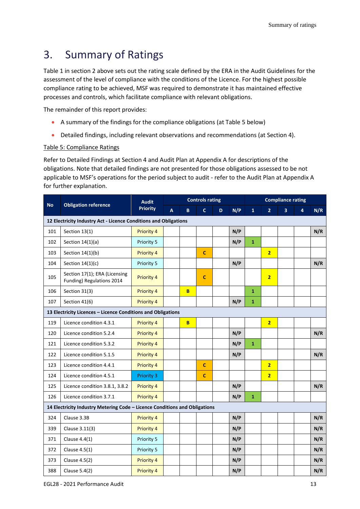## <span id="page-12-0"></span>3. Summary of Ratings

Table 1 in section 2 above sets out the rating scale defined by the ERA in the Audit Guidelines for the assessment of the level of compliance with the conditions of the Licence. For the highest possible compliance rating to be achieved, MSF was required to demonstrate it has maintained effective processes and controls, which facilitate compliance with relevant obligations.

The remainder of this report provides:

- A summary of the findings for the compliance obligations (at Table 5 below)
- Detailed findings, including relevant observations and recommendations (at Section 4).

#### Table 5: Compliance Ratings

Refer to Detailed Findings at Section 4 and Audit Plan at Appendix A for descriptions of the obligations. Note that detailed findings are not presented for those obligations assessed to be not applicable to MSF's operations for the period subject to audit - refer to the Audit Plan at Appendix A for further explanation.

| <b>No</b>                                                                  | <b>Obligation reference</b>                                      | <b>Audit</b>      |   |          | <b>Controls rating</b> |   |     |              |                | <b>Compliance rating</b> |   |     |
|----------------------------------------------------------------------------|------------------------------------------------------------------|-------------------|---|----------|------------------------|---|-----|--------------|----------------|--------------------------|---|-----|
|                                                                            |                                                                  | <b>Priority</b>   | A | B.       | $\mathbf{C}$           | D | N/P | $\mathbf{1}$ | $\overline{2}$ | $\overline{3}$           | 4 | N/R |
|                                                                            | 12 Electricity Industry Act - Licence Conditions and Obligations |                   |   |          |                        |   |     |              |                |                          |   |     |
| 101                                                                        | Section 13(1)                                                    | <b>Priority 4</b> |   |          |                        |   | N/P |              |                |                          |   | N/R |
| 102                                                                        | Section $14(1)(a)$                                               | Priority 5        |   |          |                        |   | N/P | $\mathbf{1}$ |                |                          |   |     |
| 103                                                                        | Section 14(1)(b)                                                 | Priority 4        |   |          | $\mathbf c$            |   |     |              | $\overline{2}$ |                          |   |     |
| 104                                                                        | Section $14(1)(c)$                                               | Priority 5        |   |          |                        |   | N/P |              |                |                          |   | N/R |
| 105                                                                        | Section 17(1); ERA (Licensing<br>Funding) Regulations 2014       | Priority 4        |   |          | $\mathbf{C}$           |   |     |              | $\overline{2}$ |                          |   |     |
| 106                                                                        | Section 31(3)                                                    | Priority 4        |   | B        |                        |   |     | $\mathbf{1}$ |                |                          |   |     |
| 107                                                                        | Section 41(6)                                                    | Priority 4        |   |          |                        |   | N/P | $\mathbf{1}$ |                |                          |   |     |
|                                                                            | 13 Electricity Licences - Licence Conditions and Obligations     |                   |   |          |                        |   |     |              |                |                          |   |     |
| 119                                                                        | Licence condition 4.3.1                                          | Priority 4        |   | <b>B</b> |                        |   |     |              | $\overline{2}$ |                          |   |     |
| 120                                                                        | Licence condition 5.2.4                                          | Priority 4        |   |          |                        |   | N/P |              |                |                          |   | N/R |
| 121                                                                        | Licence condition 5.3.2                                          | Priority 4        |   |          |                        |   | N/P | $\mathbf 1$  |                |                          |   |     |
| 122                                                                        | Licence condition 5.1.5                                          | Priority 4        |   |          |                        |   | N/P |              |                |                          |   | N/R |
| 123                                                                        | Licence condition 4.4.1                                          | Priority 4        |   |          | $\mathbf c$            |   |     |              | $\overline{2}$ |                          |   |     |
| 124                                                                        | Licence condition 4.5.1                                          | <b>Priority 3</b> |   |          | $\mathbf{C}$           |   |     |              | $\overline{2}$ |                          |   |     |
| 125                                                                        | Licence condition 3.8.1, 3.8.2                                   | Priority 4        |   |          |                        |   | N/P |              |                |                          |   | N/R |
| 126                                                                        | Licence condition 3.7.1                                          | Priority 4        |   |          |                        |   | N/P | $\mathbf{1}$ |                |                          |   |     |
| 14 Electricity Industry Metering Code - Licence Conditions and Obligations |                                                                  |                   |   |          |                        |   |     |              |                |                          |   |     |
| 324                                                                        | Clause 3.3B                                                      | Priority 4        |   |          |                        |   | N/P |              |                |                          |   | N/R |
| 339                                                                        | Clause 3.11(3)                                                   | Priority 4        |   |          |                        |   | N/P |              |                |                          |   | N/R |
| 371                                                                        | Clause 4.4(1)                                                    | Priority 5        |   |          |                        |   | N/P |              |                |                          |   | N/R |
| 372                                                                        | Clause 4.5(1)                                                    | Priority 5        |   |          |                        |   | N/P |              |                |                          |   | N/R |
| 373                                                                        | Clause 4.5(2)                                                    | Priority 4        |   |          |                        |   | N/P |              |                |                          |   | N/R |
| 388                                                                        | Clause 5.4(2)                                                    | Priority 4        |   |          |                        |   | N/P |              |                |                          |   | N/R |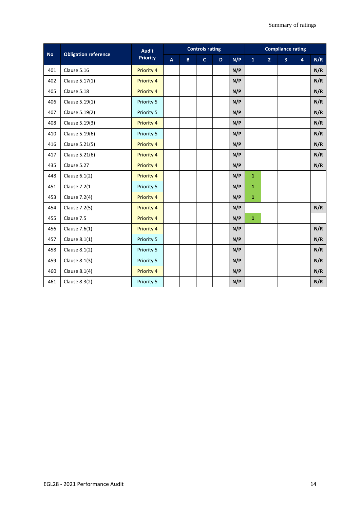| <b>Obligation reference</b><br><b>No</b> |                     | <b>Audit</b>      |                           | <b>Controls rating</b> |              |    |     | <b>Compliance rating</b> |                |                         |                |     |
|------------------------------------------|---------------------|-------------------|---------------------------|------------------------|--------------|----|-----|--------------------------|----------------|-------------------------|----------------|-----|
|                                          |                     | <b>Priority</b>   | $\boldsymbol{\mathsf{A}}$ | B                      | $\mathbf{C}$ | D. | N/P | $\mathbf{1}$             | $\overline{2}$ | $\overline{\mathbf{3}}$ | $\overline{4}$ | N/R |
| 401                                      | Clause 5.16         | Priority 4        |                           |                        |              |    | N/P |                          |                |                         |                | N/R |
| 402                                      | Clause 5.17(1)      | <b>Priority 4</b> |                           |                        |              |    | N/P |                          |                |                         |                | N/R |
| 405                                      | Clause 5.18         | Priority 4        |                           |                        |              |    | N/P |                          |                |                         |                | N/R |
| 406                                      | Clause 5.19(1)      | Priority 5        |                           |                        |              |    | N/P |                          |                |                         |                | N/R |
| 407                                      | Clause 5.19(2)      | Priority 5        |                           |                        |              |    | N/P |                          |                |                         |                | N/R |
| 408                                      | Clause 5.19(3)      | Priority 4        |                           |                        |              |    | N/P |                          |                |                         |                | N/R |
| 410                                      | Clause 5.19(6)      | Priority 5        |                           |                        |              |    | N/P |                          |                |                         |                | N/R |
| 416                                      | Clause 5.21(5)      | Priority 4        |                           |                        |              |    | N/P |                          |                |                         |                | N/R |
| 417                                      | Clause 5.21(6)      | <b>Priority 4</b> |                           |                        |              |    | N/P |                          |                |                         |                | N/R |
| 435                                      | Clause 5.27         | Priority 4        |                           |                        |              |    | N/P |                          |                |                         |                | N/R |
| 448                                      | Clause $6.1(2)$     | Priority 4        |                           |                        |              |    | N/P | $\mathbf{1}$             |                |                         |                |     |
| 451                                      | <b>Clause 7.2(1</b> | Priority 5        |                           |                        |              |    | N/P | $\mathbf{1}$             |                |                         |                |     |
| 453                                      | Clause 7.2(4)       | Priority 4        |                           |                        |              |    | N/P | $\mathbf{1}$             |                |                         |                |     |
| 454                                      | Clause 7.2(5)       | <b>Priority 4</b> |                           |                        |              |    | N/P |                          |                |                         |                | N/R |
| 455                                      | Clause 7.5          | <b>Priority 4</b> |                           |                        |              |    | N/P | $\mathbf{1}$             |                |                         |                |     |
| 456                                      | Clause 7.6(1)       | Priority 4        |                           |                        |              |    | N/P |                          |                |                         |                | N/R |
| 457                                      | Clause 8.1(1)       | Priority 5        |                           |                        |              |    | N/P |                          |                |                         |                | N/R |
| 458                                      | Clause 8.1(2)       | Priority 5        |                           |                        |              |    | N/P |                          |                |                         |                | N/R |
| 459                                      | Clause 8.1(3)       | Priority 5        |                           |                        |              |    | N/P |                          |                |                         |                | N/R |
| 460                                      | Clause $8.1(4)$     | Priority 4        |                           |                        |              |    | N/P |                          |                |                         |                | N/R |
| 461                                      | Clause 8.3(2)       | Priority 5        |                           |                        |              |    | N/P |                          |                |                         |                | N/R |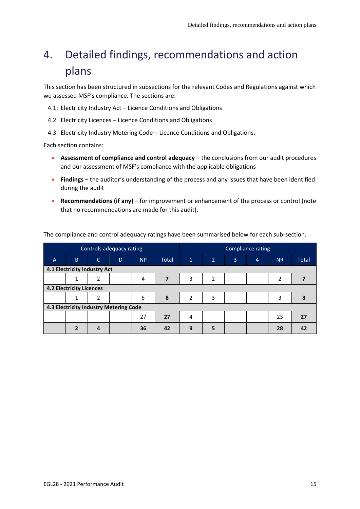# <span id="page-14-0"></span>4. Detailed findings, recommendations and action plans

This section has been structured in subsections for the relevant Codes and Regulations against which we assessed MSF's compliance. The sections are:

4.1: Electricity Industry Act – Licence Conditions and Obligations

- 4.2 Electricity Licences Licence Conditions and Obligations
- 4.3 Electricity Industry Metering Code Licence Conditions and Obligations.

Each section contains:

- **Assessment of compliance and control adequacy** the conclusions from our audit procedures and our assessment of MSF's compliance with the applicable obligations
- **Findings** the auditor's understanding of the process and any issues that have been identified during the audit
- **Recommendations (if any)** for improvement or enhancement of the process or control (note that no recommendations are made for this audit).

|                |                                        |              | Controls adequacy rating |           |              | Compliance rating |   |                |                |           |       |
|----------------|----------------------------------------|--------------|--------------------------|-----------|--------------|-------------------|---|----------------|----------------|-----------|-------|
| $\overline{A}$ | B                                      | $\mathsf{C}$ | D                        | <b>NP</b> | <b>Total</b> | $\mathbf{1}$      | 2 | $\overline{3}$ | $\overline{4}$ | <b>NR</b> | Total |
|                | 4.1 Electricity Industry Act           |              |                          |           |              |                   |   |                |                |           |       |
|                |                                        | 2            |                          | 4         | 7            | 3                 | 2 |                |                | 2         |       |
|                | <b>4.2 Electricity Licences</b>        |              |                          |           |              |                   |   |                |                |           |       |
|                |                                        | 2            |                          | 5         | 8            | 2                 | 3 |                |                | 3         |       |
|                | 4.3 Electricity Industry Metering Code |              |                          |           |              |                   |   |                |                |           |       |
|                |                                        |              |                          | 27        | 27           | 4                 |   |                |                | 23        | 27    |
|                | ר                                      |              |                          | 36        | 42           | 9                 | 5 |                |                | 28        | 42    |

The compliance and control adequacy ratings have been summarised below for each sub-section.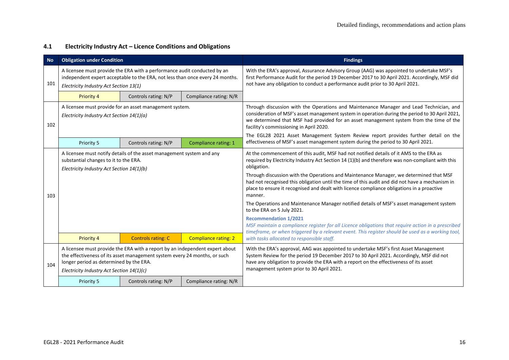#### **4.1 Electricity Industry Act – Licence Conditions and Obligations**

| <b>No</b> | <b>Obligation under Condition</b>                                                                                                                                                                                                                 |                                                                       |                             | <b>Findings</b>                                                                                                                                                                                                                                                                                                                                                                                                                                                                                                                                                                                                                                                                                                                                                                                                                                                                       |
|-----------|---------------------------------------------------------------------------------------------------------------------------------------------------------------------------------------------------------------------------------------------------|-----------------------------------------------------------------------|-----------------------------|---------------------------------------------------------------------------------------------------------------------------------------------------------------------------------------------------------------------------------------------------------------------------------------------------------------------------------------------------------------------------------------------------------------------------------------------------------------------------------------------------------------------------------------------------------------------------------------------------------------------------------------------------------------------------------------------------------------------------------------------------------------------------------------------------------------------------------------------------------------------------------------|
| 101       | A licensee must provide the ERA with a performance audit conducted by an<br>independent expert acceptable to the ERA, not less than once every 24 months.<br>Electricity Industry Act Section 13(1)                                               |                                                                       |                             | With the ERA's approval, Assurance Advisory Group (AAG) was appointed to undertake MSF's<br>first Performance Audit for the period 19 December 2017 to 30 April 2021. Accordingly, MSF did<br>not have any obligation to conduct a performance audit prior to 30 April 2021.                                                                                                                                                                                                                                                                                                                                                                                                                                                                                                                                                                                                          |
|           | Priority 4                                                                                                                                                                                                                                        | Controls rating: N/P                                                  | Compliance rating: N/R      |                                                                                                                                                                                                                                                                                                                                                                                                                                                                                                                                                                                                                                                                                                                                                                                                                                                                                       |
| 102       | A licensee must provide for an asset management system.<br>Electricity Industry Act Section 14(1)(a)                                                                                                                                              |                                                                       |                             | Through discussion with the Operations and Maintenance Manager and Lead Technician, and<br>consideration of MSF's asset management system in operation during the period to 30 April 2021,<br>we determined that MSF had provided for an asset management system from the time of the<br>facility's commissioning in April 2020.                                                                                                                                                                                                                                                                                                                                                                                                                                                                                                                                                      |
|           | Priority 5                                                                                                                                                                                                                                        | Controls rating: N/P                                                  | Compliance rating: 1        | The EGL28 2021 Asset Management System Review report provides further detail on the<br>effectiveness of MSF's asset management system during the period to 30 April 2021.                                                                                                                                                                                                                                                                                                                                                                                                                                                                                                                                                                                                                                                                                                             |
| 103       | substantial changes to it to the ERA.<br>Electricity Industry Act Section 14(1)(b)                                                                                                                                                                | A licensee must notify details of the asset management system and any |                             | At the commencement of this audit, MSF had not notified details of it AMS to the ERA as<br>required by Electricity Industry Act Section 14 (1)(b) and therefore was non-compliant with this<br>obligation.<br>Through discussion with the Operations and Maintenance Manager, we determined that MSF<br>had not recognised this obligation until the time of this audit and did not have a mechanism in<br>place to ensure it recognised and dealt with licence compliance obligations in a proactive<br>manner.<br>The Operations and Maintenance Manager notified details of MSF's asset management system<br>to the ERA on 5 July 2021.<br><b>Recommendation 1/2021</b><br>MSF maintain a compliance register for all Licence obligations that require action in a prescribed<br>timeframe, or when triggered by a relevant event. This register should be used as a working tool, |
|           | Priority 4                                                                                                                                                                                                                                        | <b>Controls rating: C</b>                                             | <b>Compliance rating: 2</b> | with tasks allocated to responsible staff.                                                                                                                                                                                                                                                                                                                                                                                                                                                                                                                                                                                                                                                                                                                                                                                                                                            |
| 104       | A licensee must provide the ERA with a report by an independent expert about<br>the effectiveness of its asset management system every 24 months, or such<br>longer period as determined by the ERA.<br>Electricity Industry Act Section 14(1)(c) |                                                                       |                             | With the ERA's approval, AAG was appointed to undertake MSF's first Asset Management<br>System Review for the period 19 December 2017 to 30 April 2021. Accordingly, MSF did not<br>have any obligation to provide the ERA with a report on the effectiveness of its asset<br>management system prior to 30 April 2021.                                                                                                                                                                                                                                                                                                                                                                                                                                                                                                                                                               |
|           | Priority 5                                                                                                                                                                                                                                        | Controls rating: N/P                                                  | Compliance rating: N/R      |                                                                                                                                                                                                                                                                                                                                                                                                                                                                                                                                                                                                                                                                                                                                                                                                                                                                                       |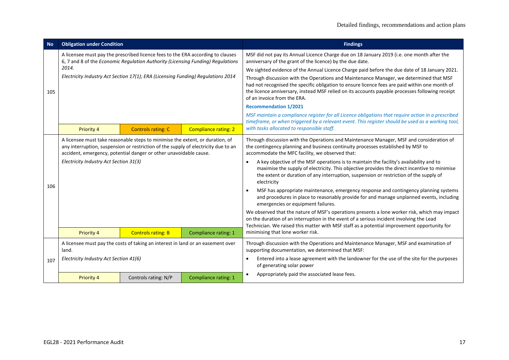| <b>No</b> | <b>Obligation under Condition</b>                                                |                                                                                                                                                                                                                                          |                             | <b>Findings</b>                                                                                                                                                                                                                                                                                                            |
|-----------|----------------------------------------------------------------------------------|------------------------------------------------------------------------------------------------------------------------------------------------------------------------------------------------------------------------------------------|-----------------------------|----------------------------------------------------------------------------------------------------------------------------------------------------------------------------------------------------------------------------------------------------------------------------------------------------------------------------|
|           |                                                                                  | A licensee must pay the prescribed licence fees to the ERA according to clauses<br>6, 7 and 8 of the Economic Regulation Authority (Licensing Funding) Regulations                                                                       |                             | MSF did not pay its Annual Licence Charge due on 18 January 2019 (i.e. one month after the<br>anniversary of the grant of the licence) by the due date.                                                                                                                                                                    |
|           | 2014.                                                                            |                                                                                                                                                                                                                                          |                             | We sighted evidence of the Annual Licence Charge paid before the due date of 18 January 2021.                                                                                                                                                                                                                              |
| 105       | Electricity Industry Act Section 17(1); ERA (Licensing Funding) Regulations 2014 |                                                                                                                                                                                                                                          |                             | Through discussion with the Operations and Maintenance Manager, we determined that MSF<br>had not recognised the specific obligation to ensure licence fees are paid within one month of<br>the licence anniversary, instead MSF relied on its accounts payable processes following receipt<br>of an invoice from the ERA. |
|           |                                                                                  |                                                                                                                                                                                                                                          |                             | <b>Recommendation 1/2021</b>                                                                                                                                                                                                                                                                                               |
|           |                                                                                  |                                                                                                                                                                                                                                          |                             | MSF maintain a compliance register for all Licence obligations that require action in a prescribed<br>timeframe, or when triggered by a relevant event. This register should be used as a working tool,                                                                                                                    |
|           | Priority 4                                                                       | <b>Controls rating: C</b>                                                                                                                                                                                                                | <b>Compliance rating: 2</b> | with tasks allocated to responsible staff.                                                                                                                                                                                                                                                                                 |
|           |                                                                                  | A licensee must take reasonable steps to minimise the extent, or duration, of<br>any interruption, suspension or restriction of the supply of electricity due to an<br>accident, emergency, potential danger or other unavoidable cause. |                             | Through discussion with the Operations and Maintenance Manager, MSF and consideration of<br>the contingency planning and business continuity processes established by MSF to<br>accommodate the MFC facility, we observed that:                                                                                            |
| 106       | Electricity Industry Act Section 31(3)                                           |                                                                                                                                                                                                                                          |                             | A key objective of the MSF operations is to maintain the facility's availability and to<br>maximise the supply of electricity. This objective provides the direct incentive to minimise<br>the extent or duration of any interruption, suspension or restriction of the supply of<br>electricity                           |
|           |                                                                                  |                                                                                                                                                                                                                                          |                             | MSF has appropriate maintenance, emergency response and contingency planning systems<br>$\bullet$<br>and procedures in place to reasonably provide for and manage unplanned events, including<br>emergencies or equipment failures.                                                                                        |
|           |                                                                                  |                                                                                                                                                                                                                                          |                             | We observed that the nature of MSF's operations presents a lone worker risk, which may impact<br>on the duration of an interruption in the event of a serious incident involving the Lead<br>Technician. We raised this matter with MSF staff as a potential improvement opportunity for                                   |
|           | Priority 4                                                                       | <b>Controls rating: B</b>                                                                                                                                                                                                                | Compliance rating: 1        | minimising that lone worker risk.                                                                                                                                                                                                                                                                                          |
|           | land.                                                                            | A licensee must pay the costs of taking an interest in land or an easement over                                                                                                                                                          |                             | Through discussion with the Operations and Maintenance Manager, MSF and examination of<br>supporting documentation, we determined that MSF:                                                                                                                                                                                |
| 107       | Electricity Industry Act Section 41(6)                                           |                                                                                                                                                                                                                                          |                             | Entered into a lease agreement with the landowner for the use of the site for the purposes<br>of generating solar power                                                                                                                                                                                                    |
|           | <b>Priority 4</b>                                                                | Controls rating: N/P                                                                                                                                                                                                                     | Compliance rating: 1        | Appropriately paid the associated lease fees.<br>$\bullet$                                                                                                                                                                                                                                                                 |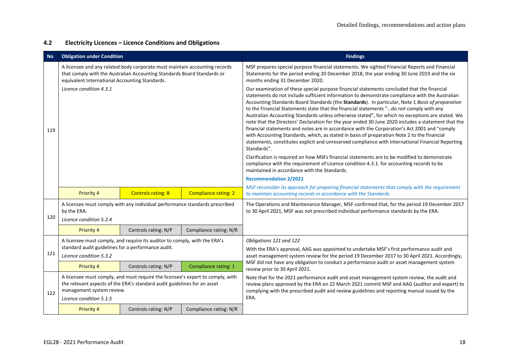#### **4.2 Electricity Licences – Licence Conditions and Obligations**

| <b>No</b> | <b>Obligation under Condition</b>                                             |                                                                                                                                                            |                             | <b>Findings</b>                                                                                                                                                                                                                                                                                                                                                                                                                                                                                                                                                                                                                                                                                                                                                                                                                                                                                                                                                                                                                                                                                                                                                      |
|-----------|-------------------------------------------------------------------------------|------------------------------------------------------------------------------------------------------------------------------------------------------------|-----------------------------|----------------------------------------------------------------------------------------------------------------------------------------------------------------------------------------------------------------------------------------------------------------------------------------------------------------------------------------------------------------------------------------------------------------------------------------------------------------------------------------------------------------------------------------------------------------------------------------------------------------------------------------------------------------------------------------------------------------------------------------------------------------------------------------------------------------------------------------------------------------------------------------------------------------------------------------------------------------------------------------------------------------------------------------------------------------------------------------------------------------------------------------------------------------------|
|           | equivalent International Accounting Standards.                                | A licensee and any related body corporate must maintain accounting records<br>that comply with the Australian Accounting Standards Board Standards or      |                             | MSF prepares special purpose financial statements. We sighted Financial Reports and Financial<br>Statements for the period ending 20 December 2018, the year ending 30 June 2019 and the six<br>months ending 31 December 2020.                                                                                                                                                                                                                                                                                                                                                                                                                                                                                                                                                                                                                                                                                                                                                                                                                                                                                                                                      |
| 119       | Licence condition 4.3.1                                                       |                                                                                                                                                            |                             | Our examination of these special purpose financial statements concluded that the financial<br>statements do not include sufficient information to demonstrate compliance with the Australian<br>Accounting Standards Board Standards (the Standards). In particular, Note 1 Basis of preparation<br>to the Financial Statements state that the financial statements "do not comply with any<br>Australian Accounting Standards unless otherwise stated", for which no exceptions are stated. We<br>note that the Directors' Declaration for the year ended 30 June 2020 includes a statement that the<br>financial statements and notes are in accordance with the Corporation's Act 2001 and "comply<br>with Accounting Standards, which, as stated in basis of preparation Note 2 to the financial<br>statements, constitutes explicit and unreserved compliance with International Financial Reporting<br>Standards".<br>Clarification is required on how MSFs financial statements are to be modified to demonstrate<br>compliance with the requirement of Licence condition 4.3.1. for accounting records to be<br>maintained in accordance with the Standards. |
|           |                                                                               |                                                                                                                                                            |                             | <b>Recommendation 2/2021</b>                                                                                                                                                                                                                                                                                                                                                                                                                                                                                                                                                                                                                                                                                                                                                                                                                                                                                                                                                                                                                                                                                                                                         |
|           | Priority 4                                                                    | <b>Controls rating: B</b>                                                                                                                                  | <b>Compliance rating: 2</b> | MSF reconsider its approach for preparing financial statements that comply with the requirement<br>to maintain accounting records in accordance with the Standards.                                                                                                                                                                                                                                                                                                                                                                                                                                                                                                                                                                                                                                                                                                                                                                                                                                                                                                                                                                                                  |
| 120       | by the ERA.<br>Licence condition 5.2.4                                        | A licensee must comply with any individual performance standards prescribed                                                                                |                             | The Operations and Maintenance Manager, MSF confirmed that, for the period 19 December 2017<br>to 30 April 2021, MSF was not prescribed individual performance standards by the ERA.                                                                                                                                                                                                                                                                                                                                                                                                                                                                                                                                                                                                                                                                                                                                                                                                                                                                                                                                                                                 |
|           | <b>Priority 4</b>                                                             | Controls rating: N/P                                                                                                                                       | Compliance rating: N/R      |                                                                                                                                                                                                                                                                                                                                                                                                                                                                                                                                                                                                                                                                                                                                                                                                                                                                                                                                                                                                                                                                                                                                                                      |
| 121       | standard audit guidelines for a performance audit.<br>Licence condition 5.3.2 | A licensee must comply, and require its auditor to comply, with the ERA's                                                                                  |                             | Obligations 121 and 122<br>With the ERA's approval, AAG was appointed to undertake MSF's first performance audit and<br>asset management system review for the period 19 December 2017 to 30 April 2021. Accordingly,                                                                                                                                                                                                                                                                                                                                                                                                                                                                                                                                                                                                                                                                                                                                                                                                                                                                                                                                                |
|           | <b>Priority 4</b>                                                             | Controls rating: N/P                                                                                                                                       | Compliance rating: 1        | MSF did not have any obligation to conduct a performance audit or asset management system<br>review prior to 30 April 2021.                                                                                                                                                                                                                                                                                                                                                                                                                                                                                                                                                                                                                                                                                                                                                                                                                                                                                                                                                                                                                                          |
| 122       | management system review.<br>Licence condition 5.1.5                          | A licensee must comply, and must require the licensee's expert to comply, with<br>the relevant aspects of the ERA's standard audit guidelines for an asset |                             | Note that for the 2021 performance audit and asset management system review, the audit and<br>review plans approved by the ERA on 22 March 2021 commit MSF and AAG (auditor and expert) to<br>complying with the prescribed audit and review guidelines and reporting manual issued by the<br>ERA.                                                                                                                                                                                                                                                                                                                                                                                                                                                                                                                                                                                                                                                                                                                                                                                                                                                                   |
|           | Priority 4                                                                    | Controls rating: N/P                                                                                                                                       | Compliance rating: N/R      |                                                                                                                                                                                                                                                                                                                                                                                                                                                                                                                                                                                                                                                                                                                                                                                                                                                                                                                                                                                                                                                                                                                                                                      |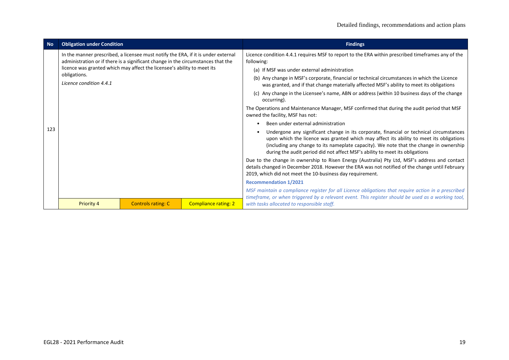| <b>No</b> | <b>Obligation under Condition</b>       |                                                                                                                                                                                                                                                  |                             | <b>Findings</b>                                                                                                                                                                                                                                                                                                                                                                                                                                                                                                                                                                                                                                                                                                                                                                                                                                                                                                                                                                                                                                                                                                                                                                                                                                                                                                                                                                                                                                                                                                                  |
|-----------|-----------------------------------------|--------------------------------------------------------------------------------------------------------------------------------------------------------------------------------------------------------------------------------------------------|-----------------------------|----------------------------------------------------------------------------------------------------------------------------------------------------------------------------------------------------------------------------------------------------------------------------------------------------------------------------------------------------------------------------------------------------------------------------------------------------------------------------------------------------------------------------------------------------------------------------------------------------------------------------------------------------------------------------------------------------------------------------------------------------------------------------------------------------------------------------------------------------------------------------------------------------------------------------------------------------------------------------------------------------------------------------------------------------------------------------------------------------------------------------------------------------------------------------------------------------------------------------------------------------------------------------------------------------------------------------------------------------------------------------------------------------------------------------------------------------------------------------------------------------------------------------------|
| 123       | obligations.<br>Licence condition 4.4.1 | In the manner prescribed, a licensee must notify the ERA, if it is under external<br>administration or if there is a significant change in the circumstances that the<br>licence was granted which may affect the licensee's ability to meet its |                             | Licence condition 4.4.1 requires MSF to report to the ERA within prescribed timeframes any of the<br>following:<br>(a) If MSF was under external administration<br>(b) Any change in MSF's corporate, financial or technical circumstances in which the Licence<br>was granted, and if that change materially affected MSF's ability to meet its obligations<br>(c) Any change in the Licensee's name, ABN or address (within 10 business days of the change<br>occurring).<br>The Operations and Maintenance Manager, MSF confirmed that during the audit period that MSF<br>owned the facility, MSF has not:<br>Been under external administration<br>Undergone any significant change in its corporate, financial or technical circumstances<br>upon which the licence was granted which may affect its ability to meet its obligations<br>(including any change to its nameplate capacity). We note that the change in ownership<br>during the audit period did not affect MSF's ability to meet its obligations<br>Due to the change in ownership to Risen Energy (Australia) Pty Ltd, MSF's address and contact<br>details changed in December 2018. However the ERA was not notified of the change until February<br>2019, which did not meet the 10-business day requirement.<br><b>Recommendation 1/2021</b><br>MSF maintain a compliance register for all Licence obligations that require action in a prescribed<br>timeframe, or when triggered by a relevant event. This register should be used as a working tool, |
|           | <b>Priority 4</b>                       | <b>Controls rating: C</b>                                                                                                                                                                                                                        | <b>Compliance rating: 2</b> | with tasks allocated to responsible staff.                                                                                                                                                                                                                                                                                                                                                                                                                                                                                                                                                                                                                                                                                                                                                                                                                                                                                                                                                                                                                                                                                                                                                                                                                                                                                                                                                                                                                                                                                       |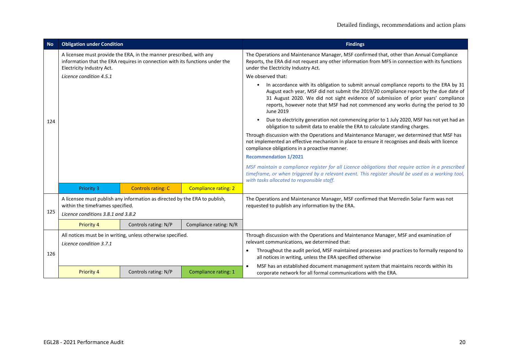| <b>No</b> | <b>Obligation under Condition</b>                                                                                                                                                                           |                                                                            |                             | <b>Findings</b>                                                                                                                                                                                                                                                                                                                                                          |  |  |
|-----------|-------------------------------------------------------------------------------------------------------------------------------------------------------------------------------------------------------------|----------------------------------------------------------------------------|-----------------------------|--------------------------------------------------------------------------------------------------------------------------------------------------------------------------------------------------------------------------------------------------------------------------------------------------------------------------------------------------------------------------|--|--|
|           | A licensee must provide the ERA, in the manner prescribed, with any<br>information that the ERA requires in connection with its functions under the<br>Electricity Industry Act.<br>Licence condition 4.5.1 |                                                                            |                             | The Operations and Maintenance Manager, MSF confirmed that, other than Annual Compliance<br>Reports, the ERA did not request any other information from MFS in connection with its functions<br>under the Electricity Industry Act.<br>We observed that:                                                                                                                 |  |  |
|           |                                                                                                                                                                                                             |                                                                            |                             | In accordance with its obligation to submit annual compliance reports to the ERA by 31<br>August each year, MSF did not submit the 2019/20 compliance report by the due date of<br>31 August 2020. We did not sight evidence of submission of prior years' compliance<br>reports, however note that MSF had not commenced any works during the period to 30<br>June 2019 |  |  |
| 124       |                                                                                                                                                                                                             |                                                                            |                             | Due to electricity generation not commencing prior to 1 July 2020, MSF has not yet had an<br>obligation to submit data to enable the ERA to calculate standing charges.                                                                                                                                                                                                  |  |  |
|           |                                                                                                                                                                                                             |                                                                            |                             | Through discussion with the Operations and Maintenance Manager, we determined that MSF has<br>not implemented an effective mechanism in place to ensure it recognises and deals with licence<br>compliance obligations in a proactive manner.                                                                                                                            |  |  |
|           |                                                                                                                                                                                                             |                                                                            |                             | <b>Recommendation 1/2021</b>                                                                                                                                                                                                                                                                                                                                             |  |  |
|           |                                                                                                                                                                                                             |                                                                            |                             | MSF maintain a compliance register for all Licence obligations that require action in a prescribed<br>timeframe, or when triggered by a relevant event. This register should be used as a working tool,<br>with tasks allocated to responsible staff.                                                                                                                    |  |  |
|           | <b>Priority 3</b>                                                                                                                                                                                           | <b>Controls rating: C</b>                                                  | <b>Compliance rating: 2</b> |                                                                                                                                                                                                                                                                                                                                                                          |  |  |
| 125       | within the timeframes specified.                                                                                                                                                                            | A licensee must publish any information as directed by the ERA to publish, |                             | The Operations and Maintenance Manager, MSF confirmed that Merredin Solar Farm was not<br>requested to publish any information by the ERA.                                                                                                                                                                                                                               |  |  |
|           | Licence conditions 3.8.1 and 3.8.2                                                                                                                                                                          |                                                                            |                             |                                                                                                                                                                                                                                                                                                                                                                          |  |  |
|           | Priority 4                                                                                                                                                                                                  | Controls rating: N/P                                                       | Compliance rating: N/R      |                                                                                                                                                                                                                                                                                                                                                                          |  |  |
|           | All notices must be in writing, unless otherwise specified.<br>Licence condition 3.7.1                                                                                                                      |                                                                            |                             | Through discussion with the Operations and Maintenance Manager, MSF and examination of<br>relevant communications, we determined that:                                                                                                                                                                                                                                   |  |  |
| 126       | $\bullet$                                                                                                                                                                                                   |                                                                            |                             | Throughout the audit period, MSF maintained processes and practices to formally respond to<br>all notices in writing, unless the ERA specified otherwise                                                                                                                                                                                                                 |  |  |
|           | <b>Priority 4</b>                                                                                                                                                                                           | Controls rating: N/P                                                       | Compliance rating: 1        | MSF has an established document management system that maintains records within its<br>$\bullet$<br>corporate network for all formal communications with the ERA.                                                                                                                                                                                                        |  |  |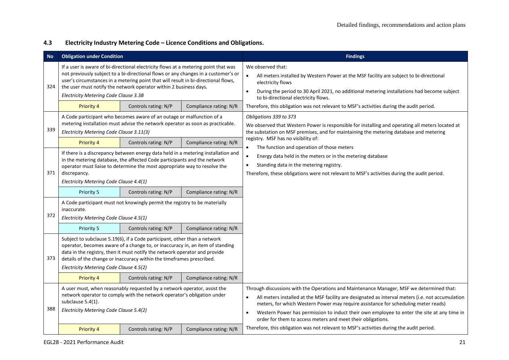#### **4.3 Electricity Industry Metering Code – Licence Conditions and Obligations.**

| <b>No</b> | <b>Obligation under Condition</b>                                                                                                                                                                                                                                                                                                                                                          |                                                                                                                                                                                                                                                                                                                   |                        | <b>Findings</b>                                                                                                                                                                                                                                                                                                                                                                                                                                  |  |  |
|-----------|--------------------------------------------------------------------------------------------------------------------------------------------------------------------------------------------------------------------------------------------------------------------------------------------------------------------------------------------------------------------------------------------|-------------------------------------------------------------------------------------------------------------------------------------------------------------------------------------------------------------------------------------------------------------------------------------------------------------------|------------------------|--------------------------------------------------------------------------------------------------------------------------------------------------------------------------------------------------------------------------------------------------------------------------------------------------------------------------------------------------------------------------------------------------------------------------------------------------|--|--|
| 324       | If a user is aware of bi-directional electricity flows at a metering point that was<br>not previously subject to a bi-directional flows or any changes in a customer's or<br>user's circumstances in a metering point that will result in bi-directional flows,<br>the user must notify the network operator within 2 business days.<br>$\bullet$<br>Electricity Metering Code Clause 3.3B |                                                                                                                                                                                                                                                                                                                   |                        | We observed that:<br>All meters installed by Western Power at the MSF facility are subject to bi-directional<br>electricity flows<br>During the period to 30 April 2021, no additional metering installations had become subject<br>to bi-directional electricity flows.                                                                                                                                                                         |  |  |
|           | Priority 4                                                                                                                                                                                                                                                                                                                                                                                 | Controls rating: N/P                                                                                                                                                                                                                                                                                              | Compliance rating: N/R | Therefore, this obligation was not relevant to MSF's activities during the audit period.                                                                                                                                                                                                                                                                                                                                                         |  |  |
| 339       | Electricity Metering Code Clause 3.11(3)                                                                                                                                                                                                                                                                                                                                                   | A Code participant who becomes aware of an outage or malfunction of a<br>metering installation must advise the network operator as soon as practicable.                                                                                                                                                           |                        | Obligations 339 to 373<br>We observed that Western Power is responsible for installing and operating all meters located at<br>the substation on MSF premises, and for maintaining the metering database and metering                                                                                                                                                                                                                             |  |  |
|           | Priority 4                                                                                                                                                                                                                                                                                                                                                                                 | Controls rating: N/P                                                                                                                                                                                                                                                                                              | Compliance rating: N/R | registry. MSF has no visibility of:<br>The function and operation of those meters                                                                                                                                                                                                                                                                                                                                                                |  |  |
| 371       | If there is a discrepancy between energy data held in a metering installation and<br>in the metering database, the affected Code participants and the network<br>operator must liaise to determine the most appropriate way to resolve the<br>discrepancy.<br>Electricity Metering Code Clause 4.4(1)                                                                                      |                                                                                                                                                                                                                                                                                                                   |                        | Energy data held in the meters or in the metering database<br>Standing data in the metering registry.<br>$\bullet$<br>Therefore, these obligations were not relevant to MSF's activities during the audit period.                                                                                                                                                                                                                                |  |  |
|           | Priority 5                                                                                                                                                                                                                                                                                                                                                                                 | Controls rating: N/P                                                                                                                                                                                                                                                                                              | Compliance rating: N/R |                                                                                                                                                                                                                                                                                                                                                                                                                                                  |  |  |
| 372       | inaccurate.<br>Electricity Metering Code Clause 4.5(1)                                                                                                                                                                                                                                                                                                                                     | A Code participant must not knowingly permit the registry to be materially                                                                                                                                                                                                                                        |                        |                                                                                                                                                                                                                                                                                                                                                                                                                                                  |  |  |
|           | Priority 5                                                                                                                                                                                                                                                                                                                                                                                 | Controls rating: N/P                                                                                                                                                                                                                                                                                              | Compliance rating: N/R |                                                                                                                                                                                                                                                                                                                                                                                                                                                  |  |  |
| 373       | Electricity Metering Code Clause 4.5(2)                                                                                                                                                                                                                                                                                                                                                    | Subject to subclause 5.19(6), if a Code participant, other than a network<br>operator, becomes aware of a change to, or inaccuracy in, an item of standing<br>data in the registry, then it must notify the network operator and provide<br>details of the change or inaccuracy within the timeframes prescribed. |                        |                                                                                                                                                                                                                                                                                                                                                                                                                                                  |  |  |
|           | Priority 4                                                                                                                                                                                                                                                                                                                                                                                 | Controls rating: N/P                                                                                                                                                                                                                                                                                              | Compliance rating: N/R |                                                                                                                                                                                                                                                                                                                                                                                                                                                  |  |  |
| 388       | subclause 5.4(1).<br>Electricity Metering Code Clause 5.4(2)                                                                                                                                                                                                                                                                                                                               | A user must, when reasonably requested by a network operator, assist the<br>network operator to comply with the network operator's obligation under                                                                                                                                                               |                        | Through discussions with the Operations and Maintenance Manager, MSF we determined that:<br>All meters installed at the MSF facility are designated as interval meters (i.e. not accumulation<br>meters, for which Western Power may require assistance for scheduling meter reads)<br>Western Power has permission to induct their own employee to enter the site at any time in<br>order for them to access meters and meet their obligations. |  |  |
|           | Priority 4                                                                                                                                                                                                                                                                                                                                                                                 | Controls rating: N/P                                                                                                                                                                                                                                                                                              | Compliance rating: N/R | Therefore, this obligation was not relevant to MSF's activities during the audit period.                                                                                                                                                                                                                                                                                                                                                         |  |  |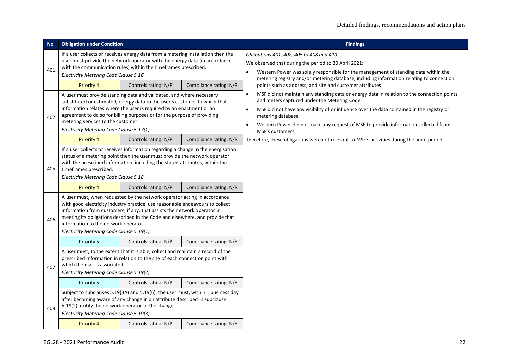| <b>No</b> | <b>Obligation under Condition</b>                                                                                                                                                                                                                                                                                                                                                       |                                                                                                                                                                                                                                                                                                                        |                        | <b>Findings</b>                                                                                                                                                                                                                                                                                                                                                                                                |
|-----------|-----------------------------------------------------------------------------------------------------------------------------------------------------------------------------------------------------------------------------------------------------------------------------------------------------------------------------------------------------------------------------------------|------------------------------------------------------------------------------------------------------------------------------------------------------------------------------------------------------------------------------------------------------------------------------------------------------------------------|------------------------|----------------------------------------------------------------------------------------------------------------------------------------------------------------------------------------------------------------------------------------------------------------------------------------------------------------------------------------------------------------------------------------------------------------|
| 401       | Electricity Metering Code Clause 5.16                                                                                                                                                                                                                                                                                                                                                   | If a user collects or receives energy data from a metering installation then the<br>user must provide the network operator with the energy data (in accordance<br>with the communication rules) within the timeframes prescribed.                                                                                      |                        | Obligations 401, 402, 405 to 408 and 410<br>We observed that during the period to 30 April 2021:<br>Western Power was solely responsible for the management of standing data within the<br>$\bullet$                                                                                                                                                                                                           |
|           | <b>Priority 4</b>                                                                                                                                                                                                                                                                                                                                                                       | Controls rating: N/P                                                                                                                                                                                                                                                                                                   | Compliance rating: N/R | metering registry and/or metering database, including information relating to connection<br>points such as address, and site and customer attributes                                                                                                                                                                                                                                                           |
| 402       | A user must provide standing data and validated, and where necessary<br>substituted or estimated, energy data to the user's customer to which that<br>information relates where the user is required by an enactment or an<br>agreement to do so for billing purposes or for the purpose of providing<br>metering services to the customer.<br>Electricity Metering Code Clause 5.17(1) |                                                                                                                                                                                                                                                                                                                        |                        | MSF did not maintain any standing data or energy data in relation to the connection points<br>$\bullet$<br>and meters captured under the Metering Code<br>MSF did not have any visibility of or influence over the data contained in the registry or<br>$\bullet$<br>metering database<br>Western Power did not make any request of MSF to provide information collected from<br>$\bullet$<br>MSF's customers. |
|           | <b>Priority 4</b>                                                                                                                                                                                                                                                                                                                                                                       | Controls rating: N/P                                                                                                                                                                                                                                                                                                   | Compliance rating: N/R | Therefore, these obligations were not relevant to MSF's activities during the audit period.                                                                                                                                                                                                                                                                                                                    |
| 405       | timeframes prescribed.<br>Electricity Metering Code Clause 5.18                                                                                                                                                                                                                                                                                                                         | If a user collects or receives information regarding a change in the energisation<br>status of a metering point then the user must provide the network operator<br>with the prescribed information, including the stated attributes, within the                                                                        |                        |                                                                                                                                                                                                                                                                                                                                                                                                                |
|           | <b>Priority 4</b>                                                                                                                                                                                                                                                                                                                                                                       | Controls rating: N/P                                                                                                                                                                                                                                                                                                   | Compliance rating: N/R |                                                                                                                                                                                                                                                                                                                                                                                                                |
| 406       | information to the network operator.<br>Electricity Metering Code Clause 5.19(1)                                                                                                                                                                                                                                                                                                        | A user must, when requested by the network operator acting in accordance<br>with good electricity industry practice, use reasonable endeavours to collect<br>information from customers, if any, that assists the network operator in<br>meeting its obligations described in the Code and elsewhere, and provide that |                        |                                                                                                                                                                                                                                                                                                                                                                                                                |
|           | Priority 5                                                                                                                                                                                                                                                                                                                                                                              | Controls rating: N/P                                                                                                                                                                                                                                                                                                   | Compliance rating: N/R |                                                                                                                                                                                                                                                                                                                                                                                                                |
| 407       | A user must, to the extent that it is able, collect and maintain a record of the<br>prescribed information in relation to the site of each connection point with<br>which the user is associated.<br>Electricity Metering Code Clause 5.19(2)                                                                                                                                           |                                                                                                                                                                                                                                                                                                                        |                        |                                                                                                                                                                                                                                                                                                                                                                                                                |
|           | Priority 5                                                                                                                                                                                                                                                                                                                                                                              | Controls rating: N/P                                                                                                                                                                                                                                                                                                   | Compliance rating: N/R |                                                                                                                                                                                                                                                                                                                                                                                                                |
| 408       | 5.19(2), notify the network operator of the change.<br>Electricity Metering Code Clause 5.19(3)                                                                                                                                                                                                                                                                                         | Subject to subclauses 5.19(3A) and 5.19(6), the user must, within 1 business day<br>after becoming aware of any change in an attribute described in subclause                                                                                                                                                          |                        |                                                                                                                                                                                                                                                                                                                                                                                                                |
|           | <b>Priority 4</b>                                                                                                                                                                                                                                                                                                                                                                       | Controls rating: N/P                                                                                                                                                                                                                                                                                                   | Compliance rating: N/R |                                                                                                                                                                                                                                                                                                                                                                                                                |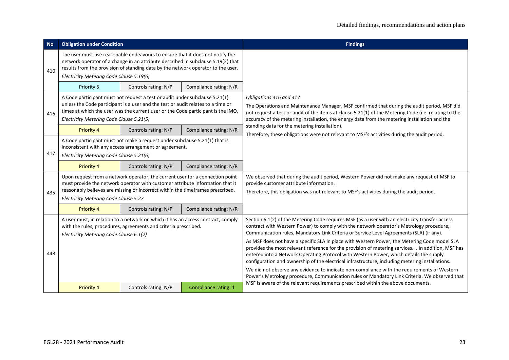| <b>No</b> | <b>Obligation under Condition</b>                                                                                                                                                                                                                                                                 |                                                                                                                                                                                                                                                  |                        | <b>Findings</b>                                                                                                                                                                                                                                                                                                                                                                                                                                                                                                                                                                                                                                                                                                                                                                                                                                                                            |
|-----------|---------------------------------------------------------------------------------------------------------------------------------------------------------------------------------------------------------------------------------------------------------------------------------------------------|--------------------------------------------------------------------------------------------------------------------------------------------------------------------------------------------------------------------------------------------------|------------------------|--------------------------------------------------------------------------------------------------------------------------------------------------------------------------------------------------------------------------------------------------------------------------------------------------------------------------------------------------------------------------------------------------------------------------------------------------------------------------------------------------------------------------------------------------------------------------------------------------------------------------------------------------------------------------------------------------------------------------------------------------------------------------------------------------------------------------------------------------------------------------------------------|
| 410       | The user must use reasonable endeavours to ensure that it does not notify the<br>network operator of a change in an attribute described in subclause 5.19(2) that<br>results from the provision of standing data by the network operator to the user.<br>Electricity Metering Code Clause 5.19(6) |                                                                                                                                                                                                                                                  |                        |                                                                                                                                                                                                                                                                                                                                                                                                                                                                                                                                                                                                                                                                                                                                                                                                                                                                                            |
|           | Priority 5                                                                                                                                                                                                                                                                                        | Controls rating: N/P                                                                                                                                                                                                                             | Compliance rating: N/R |                                                                                                                                                                                                                                                                                                                                                                                                                                                                                                                                                                                                                                                                                                                                                                                                                                                                                            |
| 416       | A Code participant must not request a test or audit under subclause 5.21(1)<br>unless the Code participant is a user and the test or audit relates to a time or<br>times at which the user was the current user or the Code participant is the IMO.<br>Electricity Metering Code Clause 5.21(5)   |                                                                                                                                                                                                                                                  |                        | Obligations 416 and 417<br>The Operations and Maintenance Manager, MSF confirmed that during the audit period, MSF did<br>not request a test or audit of the items at clause 5.21(1) of the Metering Code (i.e. relating to the<br>accuracy of the metering installation, the energy data from the metering installation and the                                                                                                                                                                                                                                                                                                                                                                                                                                                                                                                                                           |
|           | <b>Priority 4</b>                                                                                                                                                                                                                                                                                 | Controls rating: N/P                                                                                                                                                                                                                             | Compliance rating: N/R | standing data for the metering installation).<br>Therefore, these obligations were not relevant to MSF's activities during the audit period.                                                                                                                                                                                                                                                                                                                                                                                                                                                                                                                                                                                                                                                                                                                                               |
| 417       | A Code participant must not make a request under subclause 5.21(1) that is<br>inconsistent with any access arrangement or agreement.<br>Electricity Metering Code Clause 5.21(6)                                                                                                                  |                                                                                                                                                                                                                                                  |                        |                                                                                                                                                                                                                                                                                                                                                                                                                                                                                                                                                                                                                                                                                                                                                                                                                                                                                            |
|           | Priority 4                                                                                                                                                                                                                                                                                        | Controls rating: N/P                                                                                                                                                                                                                             | Compliance rating: N/R |                                                                                                                                                                                                                                                                                                                                                                                                                                                                                                                                                                                                                                                                                                                                                                                                                                                                                            |
| 435       | Electricity Metering Code Clause 5.27                                                                                                                                                                                                                                                             | Upon request from a network operator, the current user for a connection point<br>must provide the network operator with customer attribute information that it<br>reasonably believes are missing or incorrect within the timeframes prescribed. |                        | We observed that during the audit period, Western Power did not make any request of MSF to<br>provide customer attribute information.<br>Therefore, this obligation was not relevant to MSF's activities during the audit period.                                                                                                                                                                                                                                                                                                                                                                                                                                                                                                                                                                                                                                                          |
|           | Priority 4                                                                                                                                                                                                                                                                                        | Controls rating: N/P                                                                                                                                                                                                                             | Compliance rating: N/R |                                                                                                                                                                                                                                                                                                                                                                                                                                                                                                                                                                                                                                                                                                                                                                                                                                                                                            |
| 448       | A user must, in relation to a network on which it has an access contract, comply<br>with the rules, procedures, agreements and criteria prescribed.<br>Electricity Metering Code Clause 6.1(2)                                                                                                    |                                                                                                                                                                                                                                                  |                        | Section 6.1(2) of the Metering Code requires MSF (as a user with an electricity transfer access<br>contract with Western Power) to comply with the network operator's Metrology procedure,<br>Communication rules, Mandatory Link Criteria or Service Level Agreements (SLA) (if any).<br>As MSF does not have a specific SLA in place with Western Power, the Metering Code model SLA<br>provides the most relevant reference for the provision of metering services. . In addition, MSF has<br>entered into a Network Operating Protocol with Western Power, which details the supply<br>configuration and ownership of the electrical infrastructure, including metering installations.<br>We did not observe any evidence to indicate non-compliance with the requirements of Western<br>Power's Metrology procedure, Communication rules or Mandatory Link Criteria. We observed that |
|           | <b>Priority 4</b>                                                                                                                                                                                                                                                                                 | Controls rating: N/P                                                                                                                                                                                                                             | Compliance rating: 1   | MSF is aware of the relevant requirements prescribed within the above documents.                                                                                                                                                                                                                                                                                                                                                                                                                                                                                                                                                                                                                                                                                                                                                                                                           |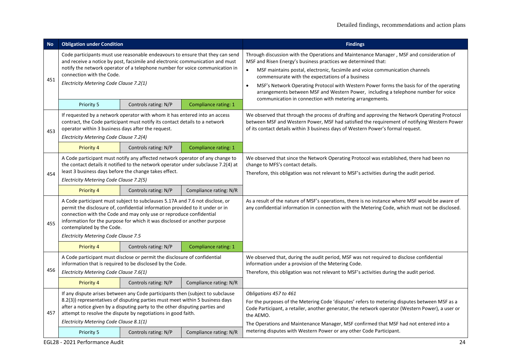| <b>No</b> | <b>Obligation under Condition</b>                                                                                                                                                                                                                                                                                      |                                                                                                                                                                                                                                                                                                                   |                        | <b>Findings</b>                                                                                                                                                                                                                                                                                                                                                                                                                                                                              |
|-----------|------------------------------------------------------------------------------------------------------------------------------------------------------------------------------------------------------------------------------------------------------------------------------------------------------------------------|-------------------------------------------------------------------------------------------------------------------------------------------------------------------------------------------------------------------------------------------------------------------------------------------------------------------|------------------------|----------------------------------------------------------------------------------------------------------------------------------------------------------------------------------------------------------------------------------------------------------------------------------------------------------------------------------------------------------------------------------------------------------------------------------------------------------------------------------------------|
| 451       | Code participants must use reasonable endeavours to ensure that they can send<br>and receive a notice by post, facsimile and electronic communication and must<br>notify the network operator of a telephone number for voice communication in<br>connection with the Code.<br>Electricity Metering Code Clause 7.2(1) |                                                                                                                                                                                                                                                                                                                   |                        | Through discussion with the Operations and Maintenance Manager, MSF and consideration of<br>MSF and Risen Energy's business practices we determined that:<br>MSF maintains postal, electronic, facsimile and voice communication channels<br>commensurate with the expectations of a business<br>MSF's Network Operating Protocol with Western Power forms the basis for of the operating<br>$\bullet$<br>arrangements between MSF and Western Power, including a telephone number for voice |
|           | Priority 5                                                                                                                                                                                                                                                                                                             | Controls rating: N/P                                                                                                                                                                                                                                                                                              | Compliance rating: 1   | communication in connection with metering arrangements.                                                                                                                                                                                                                                                                                                                                                                                                                                      |
| 453       | operator within 3 business days after the request.<br>Electricity Metering Code Clause 7.2(4)                                                                                                                                                                                                                          | If requested by a network operator with whom it has entered into an access<br>contract, the Code participant must notify its contact details to a network                                                                                                                                                         |                        | We observed that through the process of drafting and approving the Network Operating Protocol<br>between MSF and Western Power, MSF had satisfied the requirement of notifying Western Power<br>of its contact details within 3 business days of Western Power's formal request.                                                                                                                                                                                                             |
|           | <b>Priority 4</b>                                                                                                                                                                                                                                                                                                      | Controls rating: N/P                                                                                                                                                                                                                                                                                              | Compliance rating: 1   |                                                                                                                                                                                                                                                                                                                                                                                                                                                                                              |
| 454       | A Code participant must notify any affected network operator of any change to<br>the contact details it notified to the network operator under subclause 7.2(4) at<br>least 3 business days before the change takes effect.<br>Electricity Metering Code Clause 7.2(5)                                                 |                                                                                                                                                                                                                                                                                                                   |                        | We observed that since the Network Operating Protocol was established, there had been no<br>change to MFS's contact details.<br>Therefore, this obligation was not relevant to MSF's activities during the audit period.                                                                                                                                                                                                                                                                     |
|           | <b>Priority 4</b>                                                                                                                                                                                                                                                                                                      | Controls rating: N/P                                                                                                                                                                                                                                                                                              | Compliance rating: N/R |                                                                                                                                                                                                                                                                                                                                                                                                                                                                                              |
| 455       | contemplated by the Code.<br>Electricity Metering Code Clause 7.5                                                                                                                                                                                                                                                      | A Code participant must subject to subclauses 5.17A and 7.6 not disclose, or<br>permit the disclosure of, confidential information provided to it under or in<br>connection with the Code and may only use or reproduce confidential<br>information for the purpose for which it was disclosed or another purpose |                        | As a result of the nature of MSF's operations, there is no instance where MSF would be aware of<br>any confidential information in connection with the Metering Code, which must not be disclosed.                                                                                                                                                                                                                                                                                           |
|           | Priority 4                                                                                                                                                                                                                                                                                                             | Controls rating: N/P                                                                                                                                                                                                                                                                                              | Compliance rating: 1   |                                                                                                                                                                                                                                                                                                                                                                                                                                                                                              |
| 456       | Electricity Metering Code Clause 7.6(1)                                                                                                                                                                                                                                                                                | A Code participant must disclose or permit the disclosure of confidential<br>information that is required to be disclosed by the Code.                                                                                                                                                                            |                        | We observed that, during the audit period, MSF was not required to disclose confidential<br>information under a provision of the Metering Code.<br>Therefore, this obligation was not relevant to MSF's activities during the audit period.                                                                                                                                                                                                                                                  |
|           | <b>Priority 4</b>                                                                                                                                                                                                                                                                                                      | Controls rating: N/P                                                                                                                                                                                                                                                                                              | Compliance rating: N/R |                                                                                                                                                                                                                                                                                                                                                                                                                                                                                              |
| 457       | Electricity Metering Code Clause 8.1(1)                                                                                                                                                                                                                                                                                | If any dispute arises between any Code participants then (subject to subclause<br>8.2(3)) representatives of disputing parties must meet within 5 business days<br>after a notice given by a disputing party to the other disputing parties and<br>attempt to resolve the dispute by negotiations in good faith.  |                        | Obligations 457 to 461<br>For the purposes of the Metering Code 'disputes' refers to metering disputes between MSF as a<br>Code Participant, a retailer, another generator, the network operator (Western Power), a user or<br>the AEMO.                                                                                                                                                                                                                                                     |
|           | <b>Priority 5</b>                                                                                                                                                                                                                                                                                                      | Controls rating: N/P                                                                                                                                                                                                                                                                                              | Compliance rating: N/R | The Operations and Maintenance Manager, MSF confirmed that MSF had not entered into a<br>metering disputes with Western Power or any other Code Participant.                                                                                                                                                                                                                                                                                                                                 |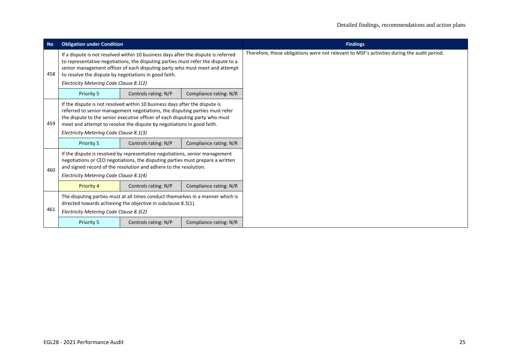| <b>No</b> | <b>Obligation under Condition</b>                                                                                                                                                                                                                                                                                                                          |                                                                                                                                                                                                                                                                                                                       |                        | <b>Findings</b>                                                                             |
|-----------|------------------------------------------------------------------------------------------------------------------------------------------------------------------------------------------------------------------------------------------------------------------------------------------------------------------------------------------------------------|-----------------------------------------------------------------------------------------------------------------------------------------------------------------------------------------------------------------------------------------------------------------------------------------------------------------------|------------------------|---------------------------------------------------------------------------------------------|
| 458       | If a dispute is not resolved within 10 business days after the dispute is referred<br>to representative negotiations, the disputing parties must refer the dispute to a<br>senior management officer of each disputing party who must meet and attempt<br>to resolve the dispute by negotiations in good faith.<br>Electricity Metering Code Clause 8.1(2) |                                                                                                                                                                                                                                                                                                                       |                        | Therefore, these obligations were not relevant to MSF's activities during the audit period. |
|           | Priority 5                                                                                                                                                                                                                                                                                                                                                 | Controls rating: N/P                                                                                                                                                                                                                                                                                                  | Compliance rating: N/R |                                                                                             |
| 459       | Electricity Metering Code Clause 8.1(3)                                                                                                                                                                                                                                                                                                                    | If the dispute is not resolved within 10 business days after the dispute is<br>referred to senior management negotiations, the disputing parties must refer<br>the dispute to the senior executive officer of each disputing party who must<br>meet and attempt to resolve the dispute by negotiations in good faith. |                        |                                                                                             |
|           | Priority 5                                                                                                                                                                                                                                                                                                                                                 | Controls rating: N/P                                                                                                                                                                                                                                                                                                  | Compliance rating: N/R |                                                                                             |
| 460       | Electricity Metering Code Clause 8.1(4)                                                                                                                                                                                                                                                                                                                    | If the dispute is resolved by representative negotiations, senior management<br>negotiations or CEO negotiations, the disputing parties must prepare a written<br>and signed record of the resolution and adhere to the resolution.                                                                                   |                        |                                                                                             |
|           | <b>Priority 4</b>                                                                                                                                                                                                                                                                                                                                          | Controls rating: N/P                                                                                                                                                                                                                                                                                                  | Compliance rating: N/R |                                                                                             |
| 461       | The disputing parties must at all times conduct themselves in a manner which is<br>directed towards achieving the objective in subclause 8.3(1).<br>Electricity Metering Code Clause 8.3(2)                                                                                                                                                                |                                                                                                                                                                                                                                                                                                                       |                        |                                                                                             |
|           | Priority 5                                                                                                                                                                                                                                                                                                                                                 | Controls rating: N/P                                                                                                                                                                                                                                                                                                  | Compliance rating: N/R |                                                                                             |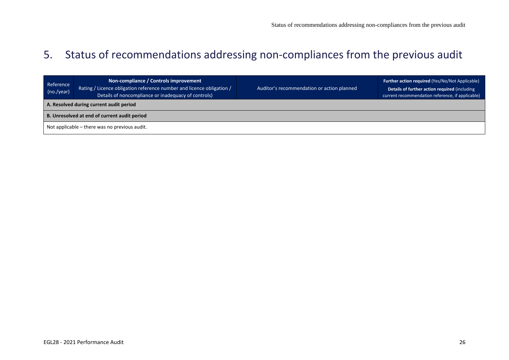## 5. Status of recommendations addressing non-compliances from the previous audit

<span id="page-25-0"></span>

| Reference<br>(no./year)                       | Non-compliance / Controls improvement<br>  Rating / Licence obligation reference number and licence obligation /<br>Details of noncompliance or inadequacy of controls) | Auditor's recommendation or action planned | <b>Further action required (Yes/No/Not Applicable)</b><br>Details of further action required (including<br>current recommendation reference, if applicable) |  |
|-----------------------------------------------|-------------------------------------------------------------------------------------------------------------------------------------------------------------------------|--------------------------------------------|-------------------------------------------------------------------------------------------------------------------------------------------------------------|--|
| A. Resolved during current audit period       |                                                                                                                                                                         |                                            |                                                                                                                                                             |  |
| B. Unresolved at end of current audit period  |                                                                                                                                                                         |                                            |                                                                                                                                                             |  |
| Not applicable – there was no previous audit. |                                                                                                                                                                         |                                            |                                                                                                                                                             |  |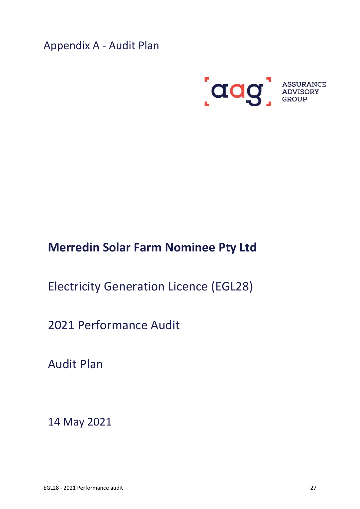<span id="page-26-0"></span>Appendix A - Audit Plan



## **Merredin Solar Farm Nominee Pty Ltd**

Electricity Generation Licence (EGL28)

2021 Performance Audit

Audit Plan

14 May 2021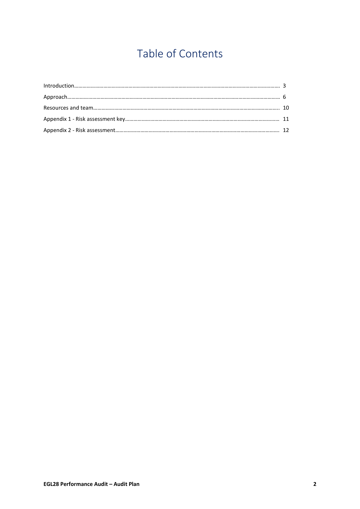# Table of Contents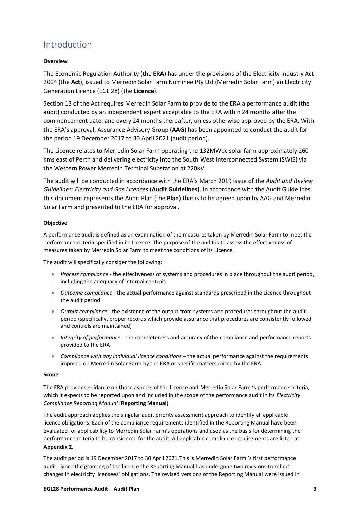### <span id="page-28-0"></span>Introduction

#### **Overview**

The Economic Regulation Authority (the **ERA**) has under the provisions of the Electricity Industry Act 2004 (the **Act**), issued to Merredin Solar Farm Nominee Pty Ltd (Merredin Solar Farm) an Electricity Generation Licence (EGL 28) (the **Licence**).

Section 13 of the Act requires Merredin Solar Farm to provide to the ERA a performance audit (the audit) conducted by an independent expert acceptable to the ERA within 24 months after the commencement date, and every 24 months thereafter, unless otherwise approved by the ERA. With the ERA's approval, Assurance Advisory Group (**AAG**) has been appointed to conduct the audit for the period 19 December 2017 to 30 April 2021 (audit period).

The Licence relates to Merredin Solar Farm operating the 132MWdc solar farm approximately 260 kms east of Perth and delivering electricity into the South West Interconnected System (SWIS) via the Western Power Merredin Terminal Substation at 220kV.

The audit will be conducted in accordance with the ERA's March 2019 issue of the *Audit and Review Guidelines: Electricity and Gas Licences* (**Audit Guidelines**). In accordance with the Audit Guidelines this document represents the Audit Plan (the **Plan**) that is to be agreed upon by AAG and Merredin Solar Farm and presented to the ERA for approval.

#### **Objective**

A performance audit is defined as an examination of the measures taken by Merredin Solar Farm to meet the performance criteria specified in its Licence. The purpose of the audit is to assess the effectiveness of measures taken by Merredin Solar Farm to meet the conditions of its Licence.

The audit will specifically consider the following:

- *Process compliance* the effectiveness of systems and procedures in place throughout the audit period, including the adequacy of internal controls
- *Outcome compliance* the actual performance against standards prescribed in the Licence throughout the audit period
- *Output compliance* the existence of the output from systems and procedures throughout the audit period (specifically, proper records which provide assurance that procedures are consistently followed and controls are maintained)
- *Integrity of performance* the completeness and accuracy of the compliance and performance reports provided to the ERA
- *Compliance with any individual licence conditions* the actual performance against the requirements imposed on Merredin Solar Farm by the ERA or specific matters raised by the ERA.

#### **Scope**

The ERA provides guidance on those aspects of the Licence and Merredin Solar Farm 's performance criteria, which it expects to be reported upon and included in the scope of the performance audit in its *Electricity Compliance Reporting Manual* (**Reporting Manual**).

The audit approach applies the singular audit priority assessment approach to identify all applicable licence obligations. Each of the compliance requirements identified in the Reporting Manual have been evaluated for applicability to Merredin Solar Farm's operations and used as the basis for determining the performance criteria to be considered for the audit. All applicable compliance requirements are listed at **Appendix 2**.

The audit period is 19 December 2017 to 30 April 2021.This is Merredin Solar Farm 's first performance audit. Since the granting of the licence the Reporting Manual has undergone two revisions to reflect changes in electricity licensees' obligations. The revised versions of the Reporting Manual were issued in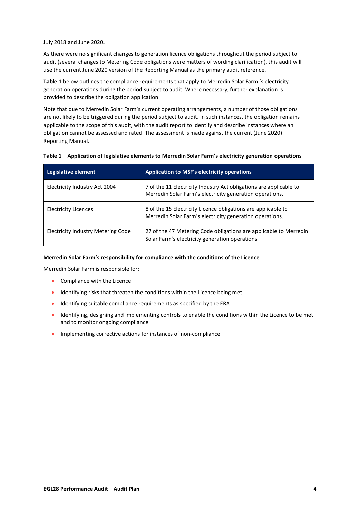July 2018 and June 2020.

As there were no significant changes to generation licence obligations throughout the period subject to audit (several changes to Metering Code obligations were matters of wording clarification), this audit will use the current June 2020 version of the Reporting Manual as the primary audit reference.

**Table 1** below outlines the compliance requirements that apply to Merredin Solar Farm 's electricity generation operations during the period subject to audit. Where necessary, further explanation is provided to describe the obligation application.

Note that due to Merredin Solar Farm's current operating arrangements, a number of those obligations are not likely to be triggered during the period subject to audit. In such instances, the obligation remains applicable to the scope of this audit, with the audit report to identify and describe instances where an obligation cannot be assessed and rated. The assessment is made against the current (June 2020) Reporting Manual.

| Table 1 - Application of legislative elements to Merredin Solar Farm's electricity generation operations |  |
|----------------------------------------------------------------------------------------------------------|--|
|----------------------------------------------------------------------------------------------------------|--|

| Legislative element                | <b>Application to MSF's electricity operations</b>                                                                             |
|------------------------------------|--------------------------------------------------------------------------------------------------------------------------------|
| Electricity Industry Act 2004      | 7 of the 11 Electricity Industry Act obligations are applicable to<br>Merredin Solar Farm's electricity generation operations. |
| <b>Electricity Licences</b>        | 8 of the 15 Electricity Licence obligations are applicable to<br>Merredin Solar Farm's electricity generation operations.      |
| Electricity Industry Metering Code | 27 of the 47 Metering Code obligations are applicable to Merredin<br>Solar Farm's electricity generation operations.           |

#### **Merredin Solar Farm's responsibility for compliance with the conditions of the Licence**

Merredin Solar Farm is responsible for:

- Compliance with the Licence
- Identifying risks that threaten the conditions within the Licence being met
- Identifying suitable compliance requirements as specified by the ERA
- Identifying, designing and implementing controls to enable the conditions within the Licence to be met and to monitor ongoing compliance
- Implementing corrective actions for instances of non-compliance.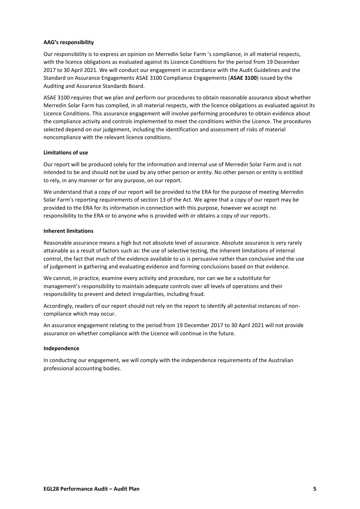#### **AAG's responsibility**

Our responsibility is to express an opinion on Merredin Solar Farm 's compliance, in all material respects, with the licence obligations as evaluated against its Licence Conditions for the period from 19 December 2017 to 30 April 2021. We will conduct our engagement in accordance with the Audit Guidelines and the Standard on Assurance Engagements ASAE 3100 Compliance Engagements (**ASAE 3100**) issued by the Auditing and Assurance Standards Board.

ASAE 3100 requires that we plan and perform our procedures to obtain reasonable assurance about whether Merredin Solar Farm has complied, in all material respects, with the licence obligations as evaluated against its Licence Conditions. This assurance engagement will involve performing procedures to obtain evidence about the compliance activity and controls implemented to meet the conditions within the Licence. The procedures selected depend on our judgement, including the identification and assessment of risks of material noncompliance with the relevant licence conditions.

#### **Limitations of use**

Our report will be produced solely for the information and internal use of Merredin Solar Farm and is not intended to be and should not be used by any other person or entity. No other person or entity is entitled to rely, in any manner or for any purpose, on our report.

We understand that a copy of our report will be provided to the ERA for the purpose of meeting Merredin Solar Farm's reporting requirements of section 13 of the Act. We agree that a copy of our report may be provided to the ERA for its information in connection with this purpose, however we accept no responsibility to the ERA or to anyone who is provided with or obtains a copy of our reports.

#### **Inherent limitations**

Reasonable assurance means a high but not absolute level of assurance. Absolute assurance is very rarely attainable as a result of factors such as: the use of selective testing, the inherent limitations of internal control, the fact that much of the evidence available to us is persuasive rather than conclusive and the use of judgement in gathering and evaluating evidence and forming conclusions based on that evidence.

We cannot, in practice, examine every activity and procedure, nor can we be a substitute for management's responsibility to maintain adequate controls over all levels of operations and their responsibility to prevent and detect irregularities, including fraud.

Accordingly, readers of our report should not rely on the report to identify all potential instances of noncompliance which may occur.

An assurance engagement relating to the period from 19 December 2017 to 30 April 2021 will not provide assurance on whether compliance with the Licence will continue in the future.

#### **Independence**

In conducting our engagement, we will comply with the independence requirements of the Australian professional accounting bodies.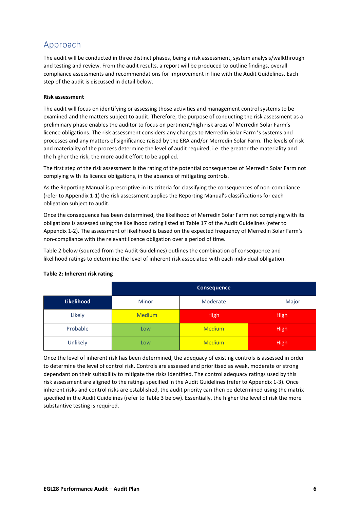## <span id="page-31-0"></span>Approach

The audit will be conducted in three distinct phases, being a risk assessment, system analysis/walkthrough and testing and review. From the audit results, a report will be produced to outline findings, overall compliance assessments and recommendations for improvement in line with the Audit Guidelines. Each step of the audit is discussed in detail below.

#### **Risk assessment**

The audit will focus on identifying or assessing those activities and management control systems to be examined and the matters subject to audit. Therefore, the purpose of conducting the risk assessment as a preliminary phase enables the auditor to focus on pertinent/high risk areas of Merredin Solar Farm's licence obligations. The risk assessment considers any changes to Merredin Solar Farm 's systems and processes and any matters of significance raised by the ERA and/or Merredin Solar Farm. The levels of risk and materiality of the process determine the level of audit required, i.e. the greater the materiality and the higher the risk, the more audit effort to be applied.

The first step of the risk assessment is the rating of the potential consequences of Merredin Solar Farm not complying with its licence obligations, in the absence of mitigating controls.

As the Reporting Manual is prescriptive in its criteria for classifying the consequences of non-compliance (refer to Appendix 1-1) the risk assessment applies the Reporting Manual's classifications for each obligation subject to audit.

Once the consequence has been determined, the likelihood of Merredin Solar Farm not complying with its obligations is assessed using the likelihood rating listed at Table 17 of the Audit Guidelines (refer to Appendix 1-2). The assessment of likelihood is based on the expected frequency of Merredin Solar Farm's non-compliance with the relevant licence obligation over a period of time.

Table 2 below (sourced from the Audit Guidelines) outlines the combination of consequence and likelihood ratings to determine the level of inherent risk associated with each individual obligation.

|            | Consequence   |               |             |
|------------|---------------|---------------|-------------|
| Likelihood | Minor         | Moderate      | Major       |
| Likely     | <b>Medium</b> | <b>High</b>   | <b>High</b> |
| Probable   | Low           | <b>Medium</b> | <b>High</b> |
| Unlikely   | Low           | <b>Medium</b> | <b>High</b> |

#### **Table 2: Inherent risk rating**

Once the level of inherent risk has been determined, the adequacy of existing controls is assessed in order to determine the level of control risk. Controls are assessed and prioritised as weak, moderate or strong dependant on their suitability to mitigate the risks identified. The control adequacy ratings used by this risk assessment are aligned to the ratings specified in the Audit Guidelines (refer to Appendix 1-3). Once inherent risks and control risks are established, the audit priority can then be determined using the matrix specified in the Audit Guidelines (refer to Table 3 below). Essentially, the higher the level of risk the more substantive testing is required.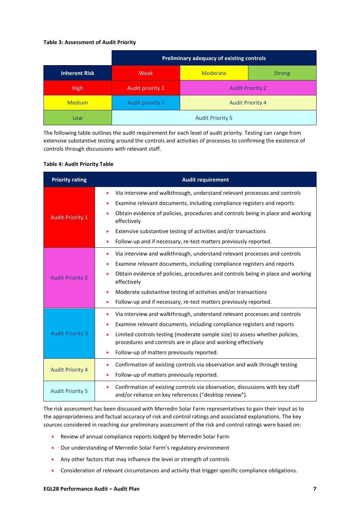#### **Table 3: Assessment of Audit Priority**

|                      | Preliminary adequacy of existing controls |                         |  |
|----------------------|-------------------------------------------|-------------------------|--|
| <b>Inherent Risk</b> | Moderate<br>Weak<br><b>Strong</b>         |                         |  |
| <b>High</b>          | Audit priority 1                          | <b>Audit Priority 2</b> |  |
| <b>Medium</b>        | Audit priority 3                          | <b>Audit Priority 4</b> |  |
| Low                  | <b>Audit Priority 5</b>                   |                         |  |

The following table outlines the audit requirement for each level of audit priority. Testing can range from extensive substantive testing around the controls and activities of processes to confirming the existence of controls through discussions with relevant staff.

#### **Table 4: Audit Priority Table**

| <b>Priority rating</b>  | <b>Audit requirement</b>                                                                                                                            |
|-------------------------|-----------------------------------------------------------------------------------------------------------------------------------------------------|
|                         | Via interview and walkthrough, understand relevant processes and controls<br>$\bullet$                                                              |
|                         | Examine relevant documents, including compliance registers and reports<br>$\bullet$                                                                 |
| <b>Audit Priority 1</b> | Obtain evidence of policies, procedures and controls being in place and working<br>effectively                                                      |
|                         | Extensive substantive testing of activities and/or transactions                                                                                     |
|                         | Follow-up and if necessary, re-test matters previously reported.<br>$\bullet$                                                                       |
|                         | Via interview and walkthrough, understand relevant processes and controls<br>$\bullet$                                                              |
|                         | Examine relevant documents, including compliance registers and reports<br>٠                                                                         |
| <b>Audit Priority 2</b> | Obtain evidence of policies, procedures and controls being in place and working<br>effectively                                                      |
|                         | Moderate substantive testing of activities and/or transactions<br>$\bullet$                                                                         |
|                         | Follow-up and if necessary, re-test matters previously reported.<br>$\bullet$                                                                       |
|                         | Via interview and walkthrough, understand relevant processes and controls<br>$\bullet$                                                              |
|                         | Examine relevant documents, including compliance registers and reports<br>$\bullet$                                                                 |
| <b>Audit Priority 3</b> | Limited controls testing (moderate sample size) to assess whether policies,<br>$\bullet$                                                            |
|                         | procedures and controls are in place and working effectively                                                                                        |
|                         | Follow-up of matters previously reported.<br>$\bullet$                                                                                              |
|                         | Confirmation of existing controls via observation and walk through testing<br>$\bullet$                                                             |
| <b>Audit Priority 4</b> | Follow-up of matters previously reported.<br>$\bullet$                                                                                              |
| <b>Audit Priority 5</b> | Confirmation of existing controls via observation, discussions with key staff<br>$\bullet$<br>and/or reliance on key references ("desktop review"). |

The risk assessment has been discussed with Merredin Solar Farm representatives to gain their input as to the appropriateness and factual accuracy of risk and control ratings and associated explanations. The key sources considered in reaching our preliminary assessment of the risk and control ratings were based on:

- Review of annual compliance reports lodged by Merredin Solar Farm
- Our understanding of Merredin Solar Farm's regulatory environment
- Any other factors that may influence the level or strength of controls
- Consideration of relevant circumstances and activity that trigger specific compliance obligations.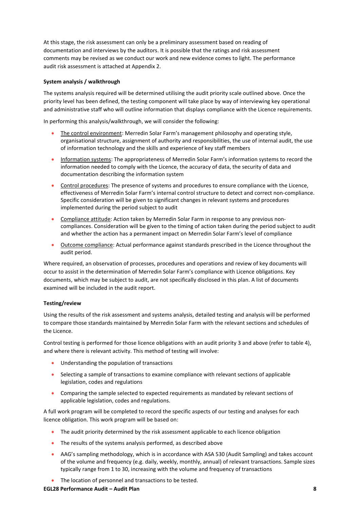At this stage, the risk assessment can only be a preliminary assessment based on reading of documentation and interviews by the auditors. It is possible that the ratings and risk assessment comments may be revised as we conduct our work and new evidence comes to light. The performance audit risk assessment is attached at Appendix 2.

#### **System analysis / walkthrough**

The systems analysis required will be determined utilising the audit priority scale outlined above. Once the priority level has been defined, the testing component will take place by way of interviewing key operational and administrative staff who will outline information that displays compliance with the Licence requirements.

In performing this analysis/walkthrough, we will consider the following:

- The control environment: Merredin Solar Farm's management philosophy and operating style, organisational structure, assignment of authority and responsibilities, the use of internal audit, the use of information technology and the skills and experience of key staff members
- Information systems: The appropriateness of Merredin Solar Farm's information systems to record the information needed to comply with the Licence, the accuracy of data, the security of data and documentation describing the information system
- Control procedures: The presence of systems and procedures to ensure compliance with the Licence, effectiveness of Merredin Solar Farm's internal control structure to detect and correct non-compliance. Specific consideration will be given to significant changes in relevant systems and procedures implemented during the period subject to audit
- Compliance attitude: Action taken by Merredin Solar Farm in response to any previous noncompliances. Consideration will be given to the timing of action taken during the period subject to audit and whether the action has a permanent impact on Merredin Solar Farm's level of compliance
- Outcome compliance: Actual performance against standards prescribed in the Licence throughout the audit period.

Where required, an observation of processes, procedures and operations and review of key documents will occur to assist in the determination of Merredin Solar Farm's compliance with Licence obligations. Key documents, which may be subject to audit, are not specifically disclosed in this plan. A list of documents examined will be included in the audit report.

#### **Testing/review**

Using the results of the risk assessment and systems analysis, detailed testing and analysis will be performed to compare those standards maintained by Merredin Solar Farm with the relevant sections and schedules of the Licence.

Control testing is performed for those licence obligations with an audit priority 3 and above (refer to table 4), and where there is relevant activity. This method of testing will involve:

- Understanding the population of transactions
- Selecting a sample of transactions to examine compliance with relevant sections of applicable legislation, codes and regulations
- Comparing the sample selected to expected requirements as mandated by relevant sections of applicable legislation, codes and regulations.

A full work program will be completed to record the specific aspects of our testing and analyses for each licence obligation. This work program will be based on:

- The audit priority determined by the risk assessment applicable to each licence obligation
- The results of the systems analysis performed, as described above
- AAG's sampling methodology, which is in accordance with ASA 530 (Audit Sampling) and takes account of the volume and frequency (e.g. daily, weekly, monthly, annual) of relevant transactions. Sample sizes typically range from 1 to 30, increasing with the volume and frequency of transactions
- The location of personnel and transactions to be tested.

**EGL28 Performance Audit – Audit Plan 8**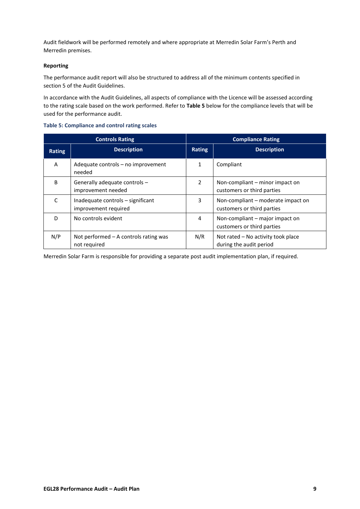Audit fieldwork will be performed remotely and where appropriate at Merredin Solar Farm's Perth and Merredin premises.

#### **Reporting**

The performance audit report will also be structured to address all of the minimum contents specified in section 5 of the Audit Guidelines.

In accordance with the Audit Guidelines, all aspects of compliance with the Licence will be assessed according to the rating scale based on the work performed. Refer to **Table 5** below for the compliance levels that will be used for the performance audit.

|  |  | <b>Table 5: Compliance and control rating scales</b> |  |  |  |
|--|--|------------------------------------------------------|--|--|--|
|--|--|------------------------------------------------------|--|--|--|

| <b>Controls Rating</b> |                                                           | <b>Compliance Rating</b> |                                                                  |
|------------------------|-----------------------------------------------------------|--------------------------|------------------------------------------------------------------|
| Rating                 | <b>Description</b>                                        | Rating                   | <b>Description</b>                                               |
| A                      | Adequate controls - no improvement<br>needed              | 1                        | Compliant                                                        |
| B                      | Generally adequate controls -<br>improvement needed       | 2                        | Non-compliant – minor impact on<br>customers or third parties    |
| C                      | Inadequate controls - significant<br>improvement required | 3                        | Non-compliant – moderate impact on<br>customers or third parties |
| D                      | No controls evident                                       | 4                        | Non-compliant – major impact on<br>customers or third parties    |
| N/P                    | Not performed $-$ A controls rating was<br>not required   | N/R                      | Not rated - No activity took place<br>during the audit period    |

Merredin Solar Farm is responsible for providing a separate post audit implementation plan, if required.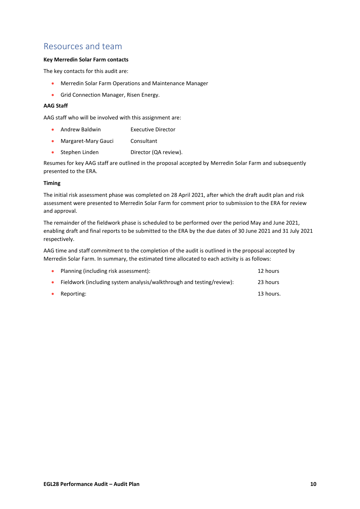### <span id="page-35-0"></span>Resources and team

#### **Key Merredin Solar Farm contacts**

The key contacts for this audit are:

- Merredin Solar Farm Operations and Maintenance Manager
- Grid Connection Manager, Risen Energy.

#### **AAG Staff**

AAG staff who will be involved with this assignment are:

- Andrew Baldwin Executive Director
- Margaret-Mary Gauci Consultant
- Stephen Linden Director (QA review).

Resumes for key AAG staff are outlined in the proposal accepted by Merredin Solar Farm and subsequently presented to the ERA.

#### **Timing**

The initial risk assessment phase was completed on 28 April 2021, after which the draft audit plan and risk assessment were presented to Merredin Solar Farm for comment prior to submission to the ERA for review and approval.

The remainder of the fieldwork phase is scheduled to be performed over the period May and June 2021, enabling draft and final reports to be submitted to the ERA by the due dates of 30 June 2021 and 31 July 2021 respectively.

AAG time and staff commitment to the completion of the audit is outlined in the proposal accepted by Merredin Solar Farm. In summary, the estimated time allocated to each activity is as follows:

|           | Planning (including risk assessment):                                 | 12 hours  |
|-----------|-----------------------------------------------------------------------|-----------|
|           | Fieldwork (including system analysis/walkthrough and testing/review): | 23 hours  |
| $\bullet$ | Reporting:                                                            | 13 hours. |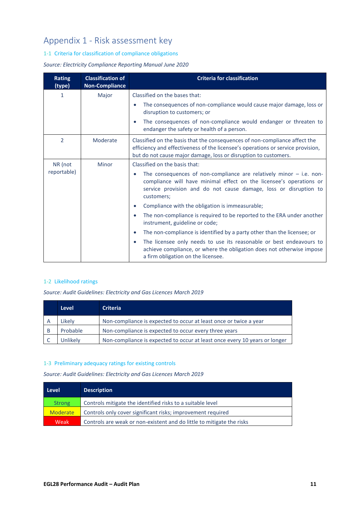## <span id="page-36-0"></span>Appendix 1 - Risk assessment key

#### 1-1 Criteria for classification of compliance obligations

#### *Source: Electricity Compliance Reporting Manual June 2020*

| <b>Rating</b><br>(type) | <b>Classification of</b><br><b>Non-Compliance</b> | <b>Criteria for classification</b>                                                                                                                                                                                                          |  |
|-------------------------|---------------------------------------------------|---------------------------------------------------------------------------------------------------------------------------------------------------------------------------------------------------------------------------------------------|--|
| 1                       | Major                                             | Classified on the bases that:                                                                                                                                                                                                               |  |
|                         |                                                   | The consequences of non-compliance would cause major damage, loss or<br>$\bullet$<br>disruption to customers; or                                                                                                                            |  |
|                         |                                                   | The consequences of non-compliance would endanger or threaten to<br>$\bullet$<br>endanger the safety or health of a person.                                                                                                                 |  |
| $\mathfrak{D}$          | Moderate                                          | Classified on the basis that the consequences of non-compliance affect the<br>efficiency and effectiveness of the licensee's operations or service provision,<br>but do not cause major damage, loss or disruption to customers.            |  |
| NR (not                 | Minor                                             | Classified on the basis that:                                                                                                                                                                                                               |  |
| reportable)             |                                                   | The consequences of non-compliance are relatively minor $-$ i.e. non-<br>$\bullet$<br>compliance will have minimal effect on the licensee's operations or<br>service provision and do not cause damage, loss or disruption to<br>customers; |  |
|                         |                                                   | Compliance with the obligation is immeasurable;<br>$\bullet$                                                                                                                                                                                |  |
|                         |                                                   | The non-compliance is required to be reported to the ERA under another<br>$\bullet$<br>instrument, guideline or code;                                                                                                                       |  |
|                         |                                                   | The non-compliance is identified by a party other than the licensee; or<br>$\bullet$                                                                                                                                                        |  |
|                         |                                                   | The licensee only needs to use its reasonable or best endeavours to<br>$\bullet$<br>achieve compliance, or where the obligation does not otherwise impose<br>a firm obligation on the licensee.                                             |  |

#### 1-2 Likelihood ratings

*Source: Audit Guidelines: Electricity and Gas Licences March 2019*

| Level    | <b>Criteria</b>                                                            |
|----------|----------------------------------------------------------------------------|
| Likelv   | Non-compliance is expected to occur at least once or twice a year          |
| Probable | Non-compliance is expected to occur every three years                      |
| Jnlikelv | Non-compliance is expected to occur at least once every 10 years or longer |

#### 1-3 Preliminary adequacy ratings for existing controls

*Source: Audit Guidelines: Electricity and Gas Licences March 2019*

| Level           | <b>Description</b>                                                    |
|-----------------|-----------------------------------------------------------------------|
| <b>Strong</b>   | Controls mitigate the identified risks to a suitable level            |
| <b>Moderate</b> | Controls only cover significant risks; improvement required           |
| Weak            | Controls are weak or non-existent and do little to mitigate the risks |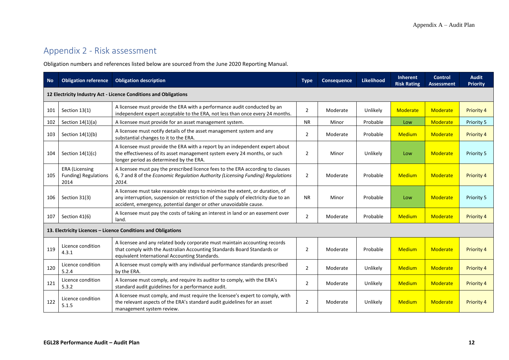### Appendix 2 - Risk assessment

Obligation numbers and references listed below are sourced from the June 2020 Reporting Manual.

<span id="page-37-0"></span>

| <b>No</b> | <b>Obligation reference</b>                                      | <b>Obligation description</b>                                                                                                                                                                                                            | <b>Type</b>    | <b>Consequence</b> | <b>Likelihood</b> | <b>Inherent</b><br><b>Risk Rating</b> | <b>Control</b><br><b>Assessment</b> | <b>Audit</b><br><b>Priority</b> |
|-----------|------------------------------------------------------------------|------------------------------------------------------------------------------------------------------------------------------------------------------------------------------------------------------------------------------------------|----------------|--------------------|-------------------|---------------------------------------|-------------------------------------|---------------------------------|
|           | 12 Electricity Industry Act - Licence Conditions and Obligations |                                                                                                                                                                                                                                          |                |                    |                   |                                       |                                     |                                 |
| 101       | Section 13(1)                                                    | A licensee must provide the ERA with a performance audit conducted by an<br>independent expert acceptable to the ERA, not less than once every 24 months.                                                                                | $\overline{2}$ | Moderate           | Unlikely          | Moderate                              | Moderate                            | Priority 4                      |
| 102       | Section $14(1)(a)$                                               | A licensee must provide for an asset management system.                                                                                                                                                                                  | <b>NR</b>      | Minor              | Probable          | Low                                   | Moderate                            | Priority 5                      |
| 103       | Section $14(1)(b)$                                               | A licensee must notify details of the asset management system and any<br>substantial changes to it to the ERA.                                                                                                                           | $\overline{2}$ | Moderate           | Probable          | <b>Medium</b>                         | Moderate                            | Priority 4                      |
| 104       | Section $14(1)(c)$                                               | A licensee must provide the ERA with a report by an independent expert about<br>the effectiveness of its asset management system every 24 months, or such<br>longer period as determined by the ERA.                                     | $\overline{2}$ | Minor              | Unlikely          | Low                                   | Moderate                            | Priority 5                      |
| 105       | <b>ERA</b> (Licensing<br>Funding) Regulations<br>2014            | A licensee must pay the prescribed licence fees to the ERA according to clauses<br>6, 7 and 8 of the Economic Regulation Authority (Licensing Funding) Regulations<br>2014.                                                              | $\overline{2}$ | Moderate           | Probable          | <b>Medium</b>                         | Moderate                            | Priority 4                      |
| 106       | Section 31(3)                                                    | A licensee must take reasonable steps to minimise the extent, or duration, of<br>any interruption, suspension or restriction of the supply of electricity due to an<br>accident, emergency, potential danger or other unavoidable cause. | <b>NR</b>      | Minor              | Probable          | Low                                   | Moderate                            | Priority 5                      |
| 107       | Section 41(6)                                                    | A licensee must pay the costs of taking an interest in land or an easement over<br>land.                                                                                                                                                 | $\overline{2}$ | Moderate           | Probable          | <b>Medium</b>                         | Moderate                            | <b>Priority 4</b>               |
|           |                                                                  | 13. Electricity Licences - Licence Conditions and Obligations                                                                                                                                                                            |                |                    |                   |                                       |                                     |                                 |
| 119       | Licence condition<br>4.3.1                                       | A licensee and any related body corporate must maintain accounting records<br>that comply with the Australian Accounting Standards Board Standards or<br>equivalent International Accounting Standards.                                  | $\overline{2}$ | Moderate           | Probable          | <b>Medium</b>                         | Moderate                            | Priority 4                      |
| 120       | Licence condition<br>5.2.4                                       | A licensee must comply with any individual performance standards prescribed<br>by the ERA.                                                                                                                                               | $\overline{2}$ | Moderate           | Unlikely          | Medium                                | Moderate                            | <b>Priority 4</b>               |
| 121       | Licence condition<br>5.3.2                                       | A licensee must comply, and require its auditor to comply, with the ERA's<br>standard audit guidelines for a performance audit.                                                                                                          | $\overline{2}$ | Moderate           | Unlikely          | Medium                                | Moderate                            | Priority 4                      |
| 122       | Licence condition<br>5.1.5                                       | A licensee must comply, and must require the licensee's expert to comply, with<br>the relevant aspects of the ERA's standard audit guidelines for an asset<br>management system review.                                                  | 2              | Moderate           | Unlikely          | <b>Medium</b>                         | Moderate                            | <b>Priority 4</b>               |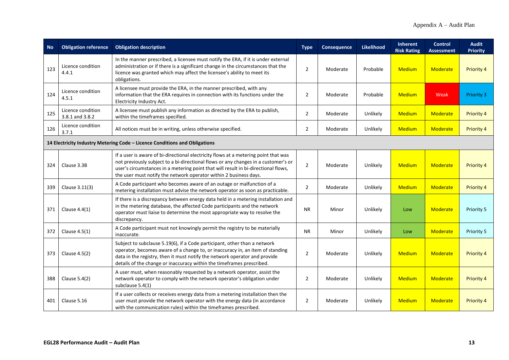| <b>No</b>                                                                  | <b>Obligation reference</b>          | <b>Obligation description</b>                                                                                                                                                                                                                                                                                                        | <b>Type</b>    | Consequence | <b>Likelihood</b> | <b>Inherent</b><br><b>Risk Rating</b> | <b>Control</b><br><b>Assessment</b> | <b>Audit</b><br><b>Priority</b> |  |
|----------------------------------------------------------------------------|--------------------------------------|--------------------------------------------------------------------------------------------------------------------------------------------------------------------------------------------------------------------------------------------------------------------------------------------------------------------------------------|----------------|-------------|-------------------|---------------------------------------|-------------------------------------|---------------------------------|--|
| 123                                                                        | Licence condition<br>4.4.1           | In the manner prescribed, a licensee must notify the ERA, if it is under external<br>administration or if there is a significant change in the circumstances that the<br>licence was granted which may affect the licensee's ability to meet its<br>obligations.                                                                     | 2              | Moderate    | Probable          | <b>Medium</b>                         | Moderate                            | <b>Priority 4</b>               |  |
| 124                                                                        | Licence condition<br>4.5.1           | A licensee must provide the ERA, in the manner prescribed, with any<br>information that the ERA requires in connection with its functions under the<br>Electricity Industry Act.                                                                                                                                                     | 2              | Moderate    | Probable          | <b>Medium</b>                         | Weak                                | <b>Priority 3</b>               |  |
| 125                                                                        | Licence condition<br>3.8.1 and 3.8.2 | A licensee must publish any information as directed by the ERA to publish,<br>within the timeframes specified.                                                                                                                                                                                                                       | 2              | Moderate    | Unlikely          | <b>Medium</b>                         | <b>Moderate</b>                     | <b>Priority 4</b>               |  |
| 126                                                                        | Licence condition<br>3.7.1           | All notices must be in writing, unless otherwise specified.                                                                                                                                                                                                                                                                          | $\overline{2}$ | Moderate    | Unlikely          | <b>Medium</b>                         | Moderate                            | <b>Priority 4</b>               |  |
| 14 Electricity Industry Metering Code - Licence Conditions and Obligations |                                      |                                                                                                                                                                                                                                                                                                                                      |                |             |                   |                                       |                                     |                                 |  |
| 324                                                                        | Clause 3.3B                          | If a user is aware of bi-directional electricity flows at a metering point that was<br>not previously subject to a bi-directional flows or any changes in a customer's or<br>user's circumstances in a metering point that will result in bi-directional flows,<br>the user must notify the network operator within 2 business days. | 2              | Moderate    | Unlikely          | <b>Medium</b>                         | Moderate                            | <b>Priority 4</b>               |  |
| 339                                                                        | Clause 3.11(3)                       | A Code participant who becomes aware of an outage or malfunction of a<br>metering installation must advise the network operator as soon as practicable.                                                                                                                                                                              | 2              | Moderate    | Unlikely          | <b>Medium</b>                         | Moderate                            | <b>Priority 4</b>               |  |
| 371                                                                        | Clause $4.4(1)$                      | If there is a discrepancy between energy data held in a metering installation and<br>in the metering database, the affected Code participants and the network<br>operator must liaise to determine the most appropriate way to resolve the<br>discrepancy.                                                                           | <b>NR</b>      | Minor       | Unlikely          | Low                                   | <b>Moderate</b>                     | Priority 5                      |  |
| 372                                                                        | Clause $4.5(1)$                      | A Code participant must not knowingly permit the registry to be materially<br>inaccurate.                                                                                                                                                                                                                                            | <b>NR</b>      | Minor       | Unlikely          | Low                                   | Moderate                            | Priority 5                      |  |
| 373                                                                        | Clause 4.5(2)                        | Subject to subclause 5.19(6), if a Code participant, other than a network<br>operator, becomes aware of a change to, or inaccuracy in, an item of standing<br>data in the registry, then it must notify the network operator and provide<br>details of the change or inaccuracy within the timeframes prescribed.                    | $\overline{2}$ | Moderate    | Unlikely          | <b>Medium</b>                         | Moderate                            | <b>Priority 4</b>               |  |
| 388                                                                        | Clause 5.4(2)                        | A user must, when reasonably requested by a network operator, assist the<br>network operator to comply with the network operator's obligation under<br>subclause 5.4(1)                                                                                                                                                              | 2              | Moderate    | Unlikely          | <b>Medium</b>                         | <b>Moderate</b>                     | <b>Priority 4</b>               |  |
| 401                                                                        | Clause 5.16                          | If a user collects or receives energy data from a metering installation then the<br>user must provide the network operator with the energy data (in accordance<br>with the communication rules) within the timeframes prescribed.                                                                                                    | 2              | Moderate    | Unlikely          | <b>Medium</b>                         | Moderate                            | <b>Priority 4</b>               |  |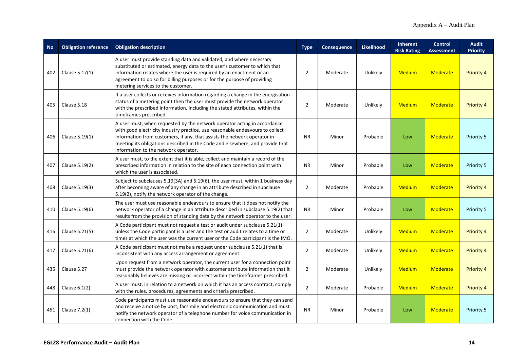| <b>No</b> | <b>Obligation reference</b> | <b>Obligation description</b>                                                                                                                                                                                                                                                                                                                                  | <b>Type</b>    | <b>Consequence</b> | Likelihood | <b>Inherent</b><br><b>Risk Rating</b> | <b>Control</b><br><b>Assessment</b> | <b>Audit</b><br><b>Priority</b> |
|-----------|-----------------------------|----------------------------------------------------------------------------------------------------------------------------------------------------------------------------------------------------------------------------------------------------------------------------------------------------------------------------------------------------------------|----------------|--------------------|------------|---------------------------------------|-------------------------------------|---------------------------------|
| 402       | Clause 5.17(1)              | A user must provide standing data and validated, and where necessary<br>substituted or estimated, energy data to the user's customer to which that<br>information relates where the user is required by an enactment or an<br>agreement to do so for billing purposes or for the purpose of providing<br>metering services to the customer.                    | $\overline{2}$ | Moderate           | Unlikely   | <b>Medium</b>                         | <b>Moderate</b>                     | <b>Priority 4</b>               |
| 405       | Clause 5.18                 | If a user collects or receives information regarding a change in the energisation<br>status of a metering point then the user must provide the network operator<br>with the prescribed information, including the stated attributes, within the<br>timeframes prescribed.                                                                                      | $\overline{2}$ | Moderate           | Unlikely   | <b>Medium</b>                         | <b>Moderate</b>                     | <b>Priority 4</b>               |
| 406       | Clause 5.19(1)              | A user must, when requested by the network operator acting in accordance<br>with good electricity industry practice, use reasonable endeavours to collect<br>information from customers, if any, that assists the network operator in<br>meeting its obligations described in the Code and elsewhere, and provide that<br>information to the network operator. | <b>NR</b>      | Minor              | Probable   | Low                                   | <b>Moderate</b>                     | Priority 5                      |
| 407       | Clause 5.19(2)              | A user must, to the extent that it is able, collect and maintain a record of the<br>prescribed information in relation to the site of each connection point with<br>which the user is associated.                                                                                                                                                              | <b>NR</b>      | Minor              | Probable   | Low                                   | Moderate                            | Priority 5                      |
| 408       | Clause 5.19(3)              | Subject to subclauses 5.19(3A) and 5.19(6), the user must, within 1 business day<br>after becoming aware of any change in an attribute described in subclause<br>5.19(2), notify the network operator of the change.                                                                                                                                           | $\overline{2}$ | Moderate           | Probable   | <b>Medium</b>                         | <b>Moderate</b>                     | <b>Priority 4</b>               |
| 410       | Clause 5.19(6)              | The user must use reasonable endeavours to ensure that it does not notify the<br>network operator of a change in an attribute described in subclause 5.19(2) that<br>results from the provision of standing data by the network operator to the user.                                                                                                          | <b>NR</b>      | Minor              | Probable   | Low                                   | <b>Moderate</b>                     | Priority 5                      |
| 416       | Clause 5.21(5)              | A Code participant must not request a test or audit under subclause 5.21(1)<br>unless the Code participant is a user and the test or audit relates to a time or<br>times at which the user was the current user or the Code participant is the IMO.                                                                                                            | 2              | Moderate           | Unlikely   | <b>Medium</b>                         | <b>Moderate</b>                     | <b>Priority 4</b>               |
| 417       | Clause 5.21(6)              | A Code participant must not make a request under subclause 5.21(1) that is<br>inconsistent with any access arrangement or agreement.                                                                                                                                                                                                                           | $\overline{2}$ | Moderate           | Unlikely   | <b>Medium</b>                         | <b>Moderate</b>                     | Priority 4                      |
| 435       | Clause 5.27                 | Upon request from a network operator, the current user for a connection point<br>must provide the network operator with customer attribute information that it<br>reasonably believes are missing or incorrect within the timeframes prescribed.                                                                                                               | $\overline{2}$ | Moderate           | Unlikely   | <b>Medium</b>                         | <b>Moderate</b>                     | Priority 4                      |
| 448       | Clause $6.1(2)$             | A user must, in relation to a network on which it has an access contract, comply<br>with the rules, procedures, agreements and criteria prescribed.                                                                                                                                                                                                            | $\overline{2}$ | Moderate           | Probable   | <b>Medium</b>                         | <b>Moderate</b>                     | <b>Priority 4</b>               |
| 451       | Clause $7.2(1)$             | Code participants must use reasonable endeavours to ensure that they can send<br>and receive a notice by post, facsimile and electronic communication and must<br>notify the network operator of a telephone number for voice communication in<br>connection with the Code.                                                                                    | <b>NR</b>      | Minor              | Probable   | Low                                   | <b>Moderate</b>                     | Priority 5                      |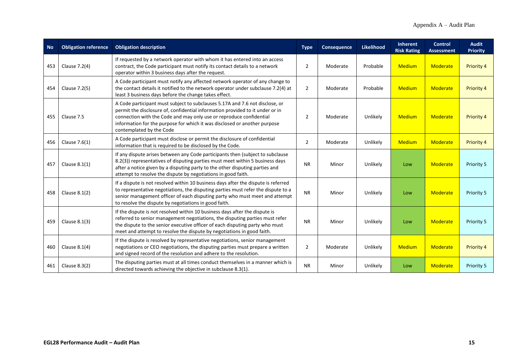| <b>No</b> | <b>Obligation reference</b> | <b>Obligation description</b>                                                                                                                                                                                                                                                                                                                 | <b>Type</b>    | Consequence | <b>Likelihood</b> | <b>Inherent</b><br><b>Risk Rating</b> | <b>Control</b><br><b>Assessment</b> | <b>Audit</b><br><b>Priority</b> |
|-----------|-----------------------------|-----------------------------------------------------------------------------------------------------------------------------------------------------------------------------------------------------------------------------------------------------------------------------------------------------------------------------------------------|----------------|-------------|-------------------|---------------------------------------|-------------------------------------|---------------------------------|
| 453       | Clause 7.2(4)               | If requested by a network operator with whom it has entered into an access<br>contract, the Code participant must notify its contact details to a network<br>operator within 3 business days after the request.                                                                                                                               | $\overline{2}$ | Moderate    | Probable          | <b>Medium</b>                         | Moderate                            | Priority 4                      |
| 454       | Clause 7.2(5)               | A Code participant must notify any affected network operator of any change to<br>the contact details it notified to the network operator under subclause 7.2(4) at<br>least 3 business days before the change takes effect.                                                                                                                   | $\overline{2}$ | Moderate    | Probable          | <b>Medium</b>                         | Moderate                            | Priority 4                      |
| 455       | Clause 7.5                  | A Code participant must subject to subclauses 5.17A and 7.6 not disclose, or<br>permit the disclosure of, confidential information provided to it under or in<br>connection with the Code and may only use or reproduce confidential<br>information for the purpose for which it was disclosed or another purpose<br>contemplated by the Code | 2              | Moderate    | Unlikely          | <b>Medium</b>                         | Moderate                            | <b>Priority 4</b>               |
| 456       | Clause $7.6(1)$             | A Code participant must disclose or permit the disclosure of confidential<br>information that is required to be disclosed by the Code.                                                                                                                                                                                                        | $\overline{2}$ | Moderate    | Unlikely          | <b>Medium</b>                         | Moderate                            | Priority 4                      |
| 457       | Clause $8.1(1)$             | If any dispute arises between any Code participants then (subject to subclause<br>8.2(3)) representatives of disputing parties must meet within 5 business days<br>after a notice given by a disputing party to the other disputing parties and<br>attempt to resolve the dispute by negotiations in good faith.                              | <b>NR</b>      | Minor       | Unlikely          | Low                                   | Moderate                            | Priority 5                      |
| 458       | Clause $8.1(2)$             | If a dispute is not resolved within 10 business days after the dispute is referred<br>to representative negotiations, the disputing parties must refer the dispute to a<br>senior management officer of each disputing party who must meet and attempt<br>to resolve the dispute by negotiations in good faith.                               | <b>NR</b>      | Minor       | Unlikely          | Low                                   | Moderate                            | Priority 5                      |
| 459       | Clause 8.1(3)               | If the dispute is not resolved within 10 business days after the dispute is<br>referred to senior management negotiations, the disputing parties must refer<br>the dispute to the senior executive officer of each disputing party who must<br>meet and attempt to resolve the dispute by negotiations in good faith.                         | <b>NR</b>      | Minor       | Unlikely          | Low                                   | Moderate                            | Priority 5                      |
| 460       | Clause $8.1(4)$             | If the dispute is resolved by representative negotiations, senior management<br>negotiations or CEO negotiations, the disputing parties must prepare a written<br>and signed record of the resolution and adhere to the resolution.                                                                                                           | $\overline{2}$ | Moderate    | Unlikely          | <b>Medium</b>                         | Moderate                            | <b>Priority 4</b>               |
| 461       | Clause $8.3(2)$             | The disputing parties must at all times conduct themselves in a manner which is<br>directed towards achieving the objective in subclause 8.3(1).                                                                                                                                                                                              | <b>NR</b>      | Minor       | Unlikely          | Low                                   | Moderate                            | Priority 5                      |